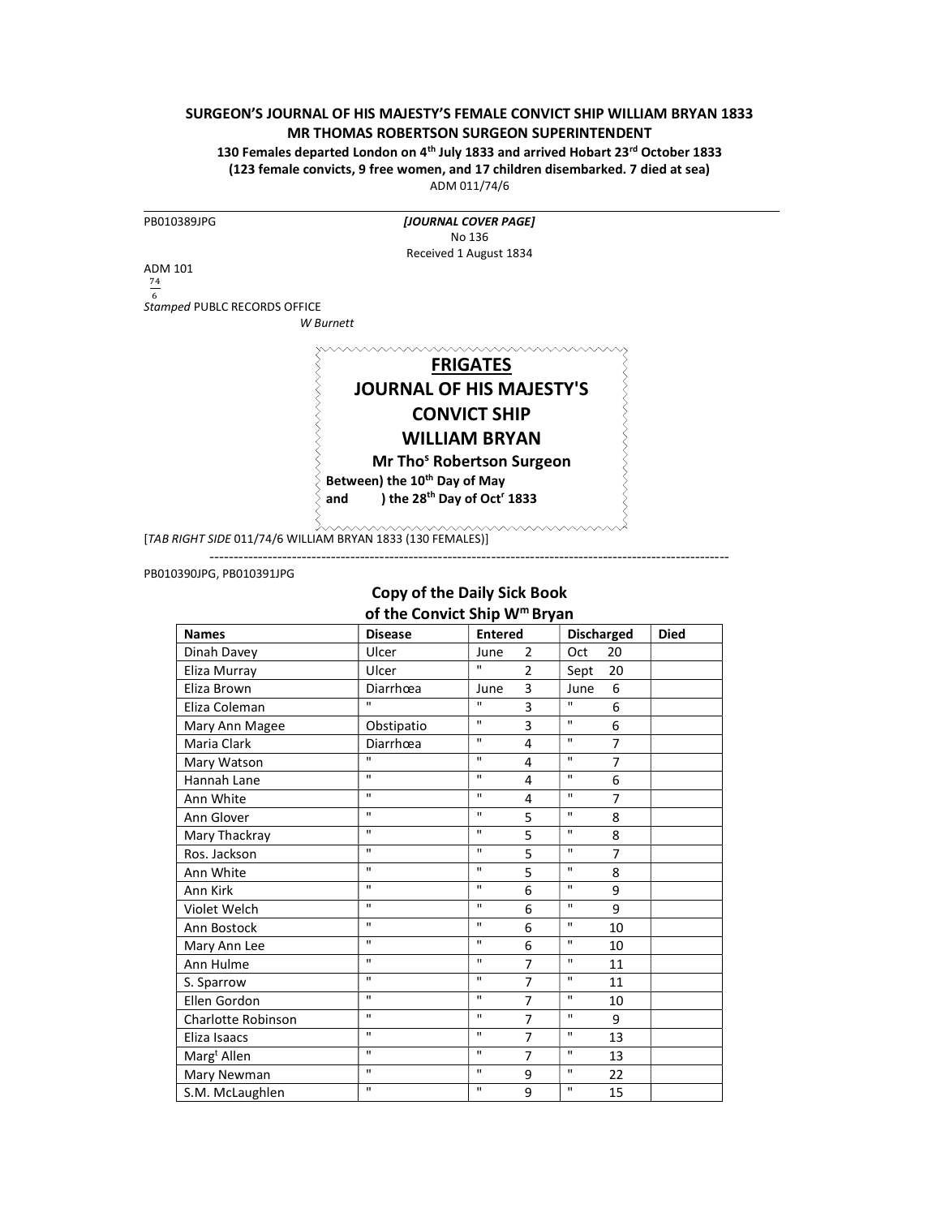### SURGEON'S JOURNAL OF HIS MAJESTY'S FEMALE CONVICT SHIP WILLIAM BRYAN 1833 MR THOMAS ROBERTSON SURGEON SUPERINTENDENT

130 Females departed London on 4<sup>th</sup> July 1833 and arrived Hobart 23<sup>rd</sup> October 1833 (123 female convicts, 9 free women, and 17 children disembarked. 7 died at sea)

ADM 011/74/6

| PB010389JPG                  | [JOURNAL COVER PAGE]                                       |
|------------------------------|------------------------------------------------------------|
|                              | No 136                                                     |
|                              | Received 1 August 1834                                     |
| <b>ADM 101</b>               |                                                            |
| 74                           |                                                            |
| Stamped PUBLC RECORDS OFFICE |                                                            |
|                              | W Burnett                                                  |
|                              |                                                            |
|                              |                                                            |
|                              | <b>FRIGATES</b>                                            |
|                              | <b>JOURNAL OF HIS MAJESTY'S</b>                            |
|                              | <b>CONVICT SHIP</b>                                        |
|                              | <b>WILLIAM BRYAN</b>                                       |
|                              |                                                            |
|                              | Mr Tho <sup>s</sup> Robertson Surgeon                      |
|                              | Between) the 10 <sup>th</sup> Day of May                   |
|                              | ) the 28 <sup>th</sup> Day of Oct <sup>r</sup> 1833<br>and |

#### PB010390JPG, PB010391JPG

# Copy of the Daily Sick Book of the Convict Ship W<sup>m</sup> Bryan

| <b>Names</b>            | <b>Disease</b> | <b>Entered</b> |                | <b>Discharged</b>              | <b>Died</b> |
|-------------------------|----------------|----------------|----------------|--------------------------------|-------------|
| Dinah Davey             | Ulcer          | June           | 2              | 20<br>Oct                      |             |
| Eliza Murray            | Ulcer          | $\mathbf{u}$   | $\overline{2}$ | 20<br>Sept                     |             |
| Eliza Brown             | Diarrhœa       | June           | 3              | 6<br>June                      |             |
| Eliza Coleman           | $\mathbf{u}$   | $\mathbf{u}$   | 3              | $\mathbf{u}$<br>6              |             |
| Mary Ann Magee          | Obstipatio     | $\mathbf{u}$   | 3              | $\mathbf{u}$<br>6              |             |
| Maria Clark             | Diarrhœa       | $\mathbf{H}$   | 4              | $\mathbf{u}$<br>$\overline{7}$ |             |
| Mary Watson             | $\mathbf{u}$   | $\mathbf{u}$   | 4              | $\mathbf{u}$<br>$\overline{7}$ |             |
| Hannah Lane             | $\mathbf{H}$   | $\mathbf{H}$   | 4              | $\mathbf{u}$<br>6              |             |
| Ann White               | $\mathbf{u}$   | $\mathbf{u}$   | 4              | $\mathbf{u}$<br>$\overline{7}$ |             |
| Ann Glover              | $\mathbf{u}$   | $\mathbf{u}$   | 5              | $\mathbf{u}$<br>8              |             |
| Mary Thackray           | $\mathbf{u}$   | $\mathbf{H}$   | 5              | $\mathbf{u}$<br>8              |             |
| Ros. Jackson            | $\mathbf{u}$   | $\mathbf{u}$   | 5              | $\mathbf{u}$<br>$\overline{7}$ |             |
| Ann White               | $\mathbf{u}$   | $\mathbf{H}$   | 5              | $\mathbf{u}$<br>8              |             |
| Ann Kirk                | $\mathbf{u}$   | $\mathbf{u}$   | 6              | $\mathbf{u}$<br>9              |             |
| Violet Welch            | $\mathbf{u}$   | $\mathbf{u}$   | 6              | $\mathbf{u}$<br>9              |             |
| Ann Bostock             | $\mathbf{u}$   | $\mathbf{H}$   | 6              | $\mathbf{u}$<br>10             |             |
| Mary Ann Lee            | $\mathbf{u}$   | $\mathbf{u}$   | 6              | $\mathbf{u}$<br>10             |             |
| Ann Hulme               | $\mathbf{u}$   | $\mathbf{u}$   | $\overline{7}$ | $\mathbf{u}$<br>11             |             |
| S. Sparrow              | $\mathbf{u}$   | $\mathbf{u}$   | $\overline{7}$ | $\mathbf{u}$<br>11             |             |
| Ellen Gordon            | $\mathbf{u}$   | $\mathbf{H}$   | $\overline{7}$ | $\mathbf{u}$<br>10             |             |
| Charlotte Robinson      | $\mathbf{u}$   | $\mathbf{H}$   | 7              | $\mathbf{u}$<br>9              |             |
| Eliza Isaacs            | $\mathbf{u}$   | $\mathbf{H}$   | 7              | $\mathbf{u}$<br>13             |             |
| Marg <sup>t</sup> Allen | $\mathbf{H}$   | $\mathbf{H}$   | $\overline{7}$ | $\mathbf{u}$<br>13             |             |
| Mary Newman             | $\mathbf{u}$   | $\mathbf{H}$   | 9              | $\mathbf{H}$<br>22             |             |
| S.M. McLaughlen         | $\mathbf{u}$   | $\mathbf{u}$   | 9              | $\mathbf{u}$<br>15             |             |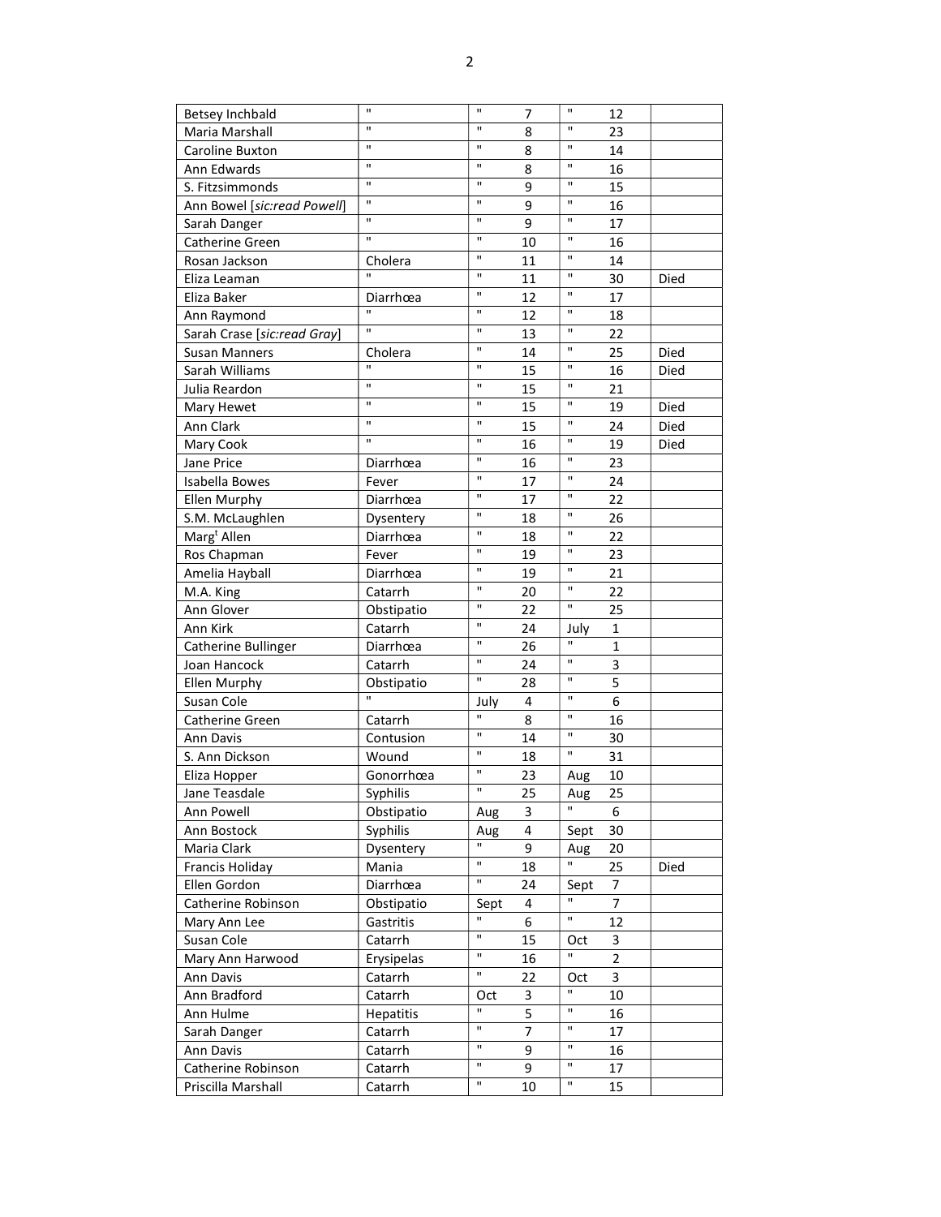| Betsey Inchbald             | $\mathbf{H}$   | $\mathbf{u}$ | 7  | $\mathbf{u}$ | 12             |      |
|-----------------------------|----------------|--------------|----|--------------|----------------|------|
| Maria Marshall              | $\mathbf{u}$   | $\mathbf{u}$ | 8  | $\mathbf{H}$ | 23             |      |
| Caroline Buxton             | $\mathbf{H}$   | $\mathbf{H}$ | 8  | $\mathbf{H}$ | 14             |      |
| Ann Edwards                 | $\mathbf{H}$   | $\mathbf{H}$ | 8  | $\mathbf{H}$ | 16             |      |
| S. Fitzsimmonds             | $\mathbf{H}$   | $\mathbf{u}$ | 9  | $\mathbf{u}$ | 15             |      |
| Ann Bowel [sic:read Powell] | $\mathbf{H}$   | $\mathbf{H}$ | 9  | $\mathbf{H}$ | 16             |      |
| Sarah Danger                | $\mathbf{u}$   | $\mathbf{H}$ | 9  | $\mathbf{H}$ | 17             |      |
| Catherine Green             | $\mathbf{u}$   | $\mathbf{H}$ | 10 | $\mathbf{H}$ | 16             |      |
| Rosan Jackson               | Cholera        | $\mathbf{H}$ | 11 | H.           | 14             |      |
| Eliza Leaman                | $\overline{u}$ | $\mathbf{H}$ | 11 | $\mathbf{H}$ | 30             | Died |
| Eliza Baker                 | Diarrhœa       | $\mathbf{H}$ | 12 | $\mathbf{H}$ | 17             |      |
| Ann Raymond                 | π              | $\mathbf{H}$ | 12 | $\mathbf{H}$ | 18             |      |
| Sarah Crase [sic:read Gray] | $\mathbf{u}$   | $\mathbf{H}$ | 13 | H.           | 22             |      |
| <b>Susan Manners</b>        | Cholera        | $\mathbf{H}$ | 14 | H.           | 25             | Died |
| Sarah Williams              | $\mathbf{u}$   | $\mathbf{H}$ | 15 | H.           | 16             | Died |
| Julia Reardon               | Ĥ,             | $\mathbf{H}$ | 15 | H.           | 21             |      |
| Mary Hewet                  | $\mathbf{u}$   | $\mathbf{H}$ | 15 | $\mathbf{H}$ | 19             | Died |
| Ann Clark                   | $\mathbf{H}$   | $\mathbf{H}$ | 15 | $\mathbf{H}$ | 24             | Died |
| Mary Cook                   | $\mathbf{u}$   | $\mathbf{H}$ | 16 | H.           | 19             | Died |
| Jane Price                  | Diarrhœa       | $\mathbf{H}$ | 16 | H.           | 23             |      |
| Isabella Bowes              | Fever          | $\mathbf{H}$ | 17 | H.           | 24             |      |
| Ellen Murphy                | Diarrhœa       | $\mathbf{u}$ | 17 | $\mathbf{H}$ | 22             |      |
| S.M. McLaughlen             | Dysentery      | $\mathbf{H}$ | 18 | $\mathbf{H}$ | 26             |      |
| Marg <sup>t</sup> Allen     | Diarrhœa       | $\mathbf{u}$ | 18 | $\mathbf{H}$ | 22             |      |
| Ros Chapman                 | Fever          | $\mathbf{H}$ | 19 | $\mathbf{H}$ | 23             |      |
| Amelia Hayball              | Diarrhœa       | $\mathbf{H}$ | 19 | $\mathbf{H}$ | 21             |      |
| M.A. King                   | Catarrh        | $\mathbf{H}$ | 20 | $\mathbf{H}$ | 22             |      |
| Ann Glover                  | Obstipatio     | $\mathbf{H}$ | 22 | $\mathbf{H}$ | 25             |      |
| Ann Kirk                    | Catarrh        | $\mathbf{H}$ | 24 | July         | 1              |      |
| Catherine Bullinger         | Diarrhœa       | $\mathbf{H}$ | 26 | $\mathbf{H}$ | 1              |      |
| Joan Hancock                | Catarrh        | $\mathbf{H}$ | 24 | H.           | 3              |      |
| Ellen Murphy                | Obstipatio     | $\mathbf{H}$ | 28 | Ħ            | 5              |      |
| Susan Cole                  | $\mathbf{u}$   | July         | 4  | $\mathbf{H}$ | 6              |      |
| Catherine Green             | Catarrh        | $\mathbf{u}$ | 8  | $\mathbf{u}$ | 16             |      |
| Ann Davis                   | Contusion      | $\mathbf{u}$ | 14 | $\mathbf{H}$ | 30             |      |
| S. Ann Dickson              | Wound          | $\mathbf{u}$ | 18 | $\mathbf{H}$ | 31             |      |
| Eliza Hopper                | Gonorrhœa      | $\mathbf{u}$ | 23 | Aug          | 10             |      |
| Jane Teasdale               | Syphilis       | $\mathbf{u}$ | 25 | Aug          | 25             |      |
| Ann Powell                  | Obstipatio     | Aug          | 3  | $\mathbf H$  | 6              |      |
| Ann Bostock                 | Syphilis       | Aug          | 4  | Sept         | 30             |      |
| Maria Clark                 | Dysentery      | $\mathbf{H}$ | 9  | Aug          | 20             |      |
| Francis Holiday             | Mania          | $\mathbf{H}$ | 18 | $\mathbf{H}$ | 25             | Died |
| Ellen Gordon                | Diarrhœa       | $\mathbf{H}$ | 24 | Sept         | 7              |      |
| Catherine Robinson          | Obstipatio     | Sept         | 4  | H.           | $\overline{7}$ |      |
| Mary Ann Lee                | Gastritis      | $\mathbf{u}$ | 6  | H.           | 12             |      |
| Susan Cole                  | Catarrh        | $\mathbf{u}$ | 15 | Oct          | 3              |      |
| Mary Ann Harwood            | Erysipelas     | $\mathbf{u}$ | 16 | H.           | $\overline{2}$ |      |
| Ann Davis                   | Catarrh        | $\mathbf{H}$ | 22 | Oct          | 3              |      |
| Ann Bradford                | Catarrh        | Oct          | 3  | $\mathbf{H}$ | 10             |      |
| Ann Hulme                   | Hepatitis      | $\mathbf{u}$ | 5  | Ħ            | 16             |      |
| Sarah Danger                | Catarrh        | $\mathbf{u}$ | 7  | П.           | 17             |      |
| Ann Davis                   | Catarrh        | $\mathbf{H}$ | 9  | п            | 16             |      |
| Catherine Robinson          | Catarrh        | $\mathbf{H}$ | 9  | п            | 17             |      |
| Priscilla Marshall          | Catarrh        | $\mathbf{H}$ | 10 | H.           | 15             |      |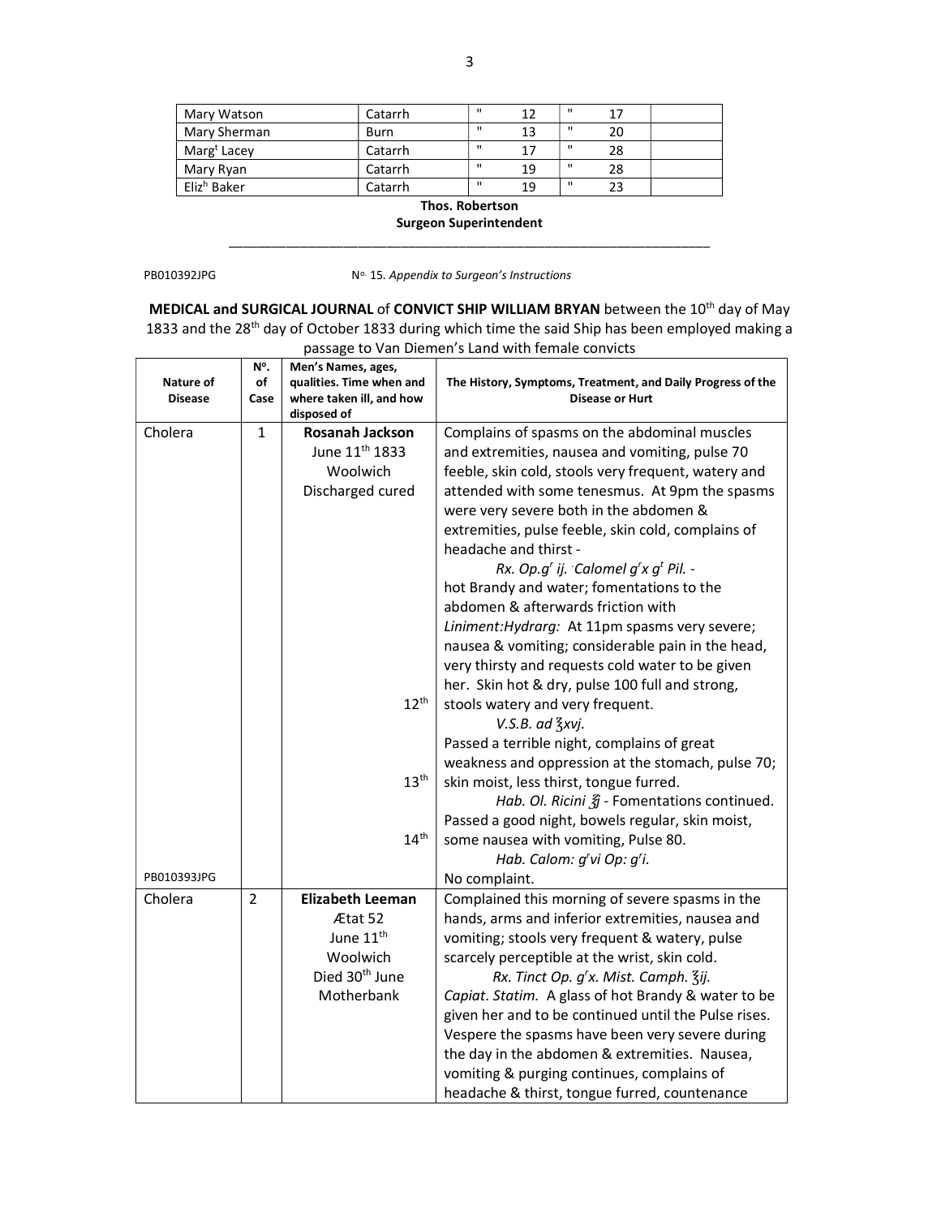| Mary Watson             | Catarrh | $\mathbf{u}$ | 12 | $\mathbf{u}$ | 17 |  |
|-------------------------|---------|--------------|----|--------------|----|--|
| Mary Sherman            | Burn    | $\mathbf{u}$ | 13 | $\mathbf{u}$ | 20 |  |
| Marg <sup>t</sup> Lacey | Catarrh | $\mathbf{u}$ | 17 | $\mathbf{u}$ | 28 |  |
| Mary Ryan               | Catarrh | $\mathbf{u}$ | 19 | $\mathbf{u}$ | 28 |  |
| Eliz <sup>h</sup> Baker | Catarrh | $\mathbf{u}$ | 19 | $\mathbf{u}$ | 23 |  |

Thos. Robertson

Surgeon Superintendent \_\_\_\_\_\_\_\_\_\_\_\_\_\_\_\_\_\_\_\_\_\_\_\_\_\_\_\_\_\_\_\_\_\_\_\_\_\_\_\_\_\_\_\_\_\_\_\_\_\_\_\_\_\_\_\_\_\_\_\_\_\_\_\_\_\_\_

PB010392JPG No. 15. Appendix to Surgeon's Instructions

MEDICAL and SURGICAL JOURNAL of CONVICT SHIP WILLIAM BRYAN between the 10<sup>th</sup> day of May 1833 and the 28<sup>th</sup> day of October 1833 during which time the said Ship has been employed making a passage to Van Diemen's Land with female convicts

|                | N°.          | Men's Names, ages,         |                                                                  |
|----------------|--------------|----------------------------|------------------------------------------------------------------|
| Nature of      | of           | qualities. Time when and   | The History, Symptoms, Treatment, and Daily Progress of the      |
| <b>Disease</b> | Case         | where taken ill, and how   | <b>Disease or Hurt</b>                                           |
|                |              | disposed of                |                                                                  |
| Cholera        | $\mathbf{1}$ | Rosanah Jackson            | Complains of spasms on the abdominal muscles                     |
|                |              | June 11 <sup>th</sup> 1833 | and extremities, nausea and vomiting, pulse 70                   |
|                |              | Woolwich                   | feeble, skin cold, stools very frequent, watery and              |
|                |              | Discharged cured           | attended with some tenesmus. At 9pm the spasms                   |
|                |              |                            | were very severe both in the abdomen &                           |
|                |              |                            | extremities, pulse feeble, skin cold, complains of               |
|                |              |                            | headache and thirst -                                            |
|                |              |                            | Rx. Op.g' ij. Calomel g'x g <sup>t</sup> Pil. -                  |
|                |              |                            | hot Brandy and water; fomentations to the                        |
|                |              |                            | abdomen & afterwards friction with                               |
|                |              |                            | Liniment: Hydrarg: At 11pm spasms very severe;                   |
|                |              |                            | nausea & vomiting; considerable pain in the head,                |
|                |              |                            | very thirsty and requests cold water to be given                 |
|                |              |                            | her. Skin hot & dry, pulse 100 full and strong,                  |
|                |              | $12^{\text{th}}$           | stools watery and very frequent.                                 |
|                |              |                            | V.S.B. ad 3xvj.                                                  |
|                |              |                            | Passed a terrible night, complains of great                      |
|                |              |                            | weakness and oppression at the stomach, pulse 70;                |
|                |              | 13 <sup>th</sup>           | skin moist, less thirst, tongue furred.                          |
|                |              |                            | Hab. Ol. Ricini $\tilde{\mathfrak{Z}}$ - Fomentations continued. |
|                |              |                            | Passed a good night, bowels regular, skin moist,                 |
|                |              | 14 <sup>th</sup>           | some nausea with vomiting, Pulse 80.                             |
|                |              |                            | Hab. Calom: g'vi Op: g'i.                                        |
| PB010393JPG    |              |                            | No complaint.                                                    |
| Cholera        | 2            | <b>Elizabeth Leeman</b>    | Complained this morning of severe spasms in the                  |
|                |              | Ætat 52                    | hands, arms and inferior extremities, nausea and                 |
|                |              | June 11 <sup>th</sup>      | vomiting; stools very frequent & watery, pulse                   |
|                |              | Woolwich                   |                                                                  |
|                |              | Died 30 <sup>th</sup> June | scarcely perceptible at the wrist, skin cold.                    |
|                |              |                            | Rx. Tinct Op. g'x. Mist. Camph. 3ij.                             |
|                |              | Motherbank                 | Capiat. Statim. A glass of hot Brandy & water to be              |
|                |              |                            | given her and to be continued until the Pulse rises.             |
|                |              |                            | Vespere the spasms have been very severe during                  |
|                |              |                            | the day in the abdomen & extremities. Nausea,                    |
|                |              |                            | vomiting & purging continues, complains of                       |
|                |              |                            | headache & thirst, tongue furred, countenance                    |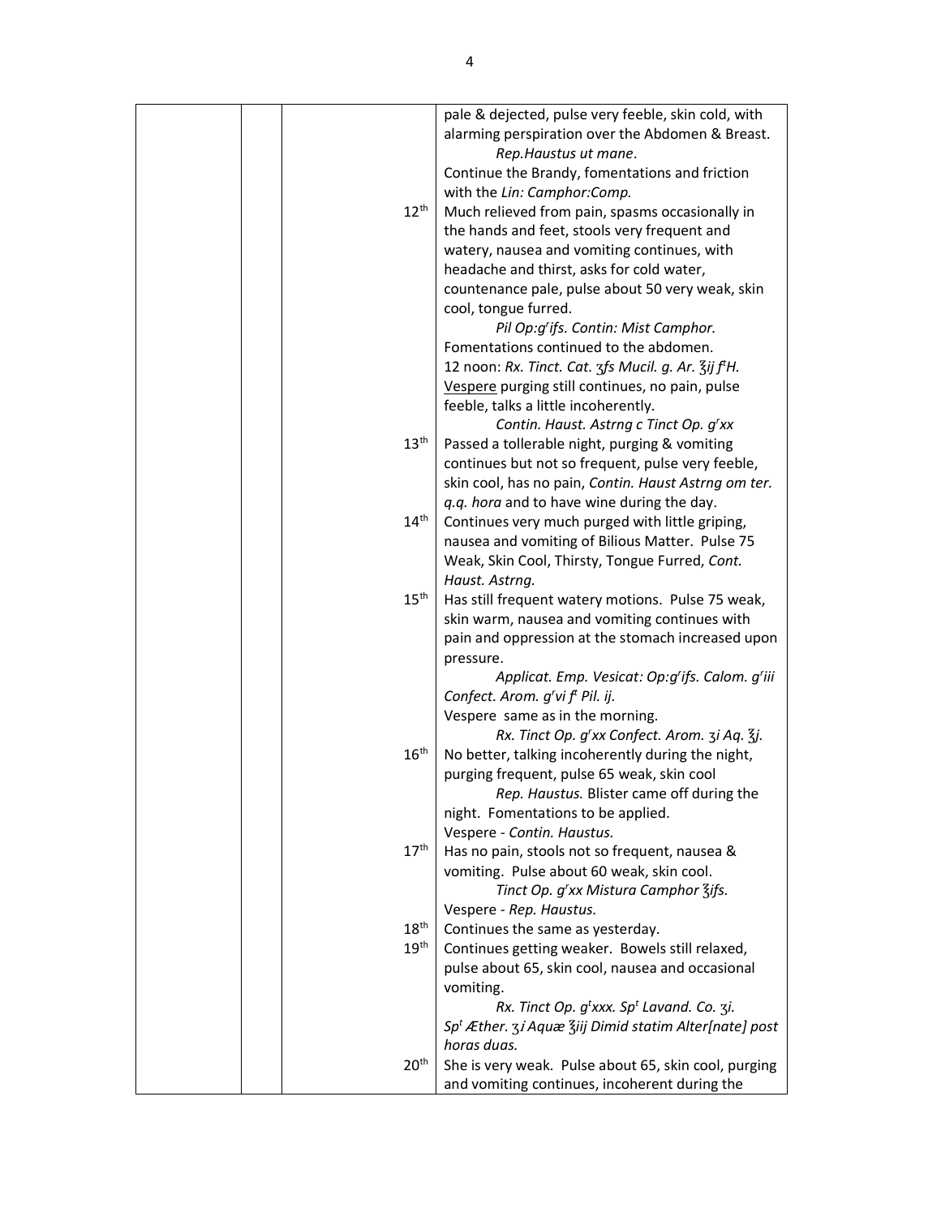|  |                  | pale & dejected, pulse very feeble, skin cold, with                                   |
|--|------------------|---------------------------------------------------------------------------------------|
|  |                  | alarming perspiration over the Abdomen & Breast.                                      |
|  |                  | Rep. Haustus ut mane.                                                                 |
|  |                  | Continue the Brandy, fomentations and friction                                        |
|  |                  | with the Lin: Camphor:Comp.                                                           |
|  | $12^{\text{th}}$ | Much relieved from pain, spasms occasionally in                                       |
|  |                  | the hands and feet, stools very frequent and                                          |
|  |                  | watery, nausea and vomiting continues, with                                           |
|  |                  | headache and thirst, asks for cold water,                                             |
|  |                  | countenance pale, pulse about 50 very weak, skin                                      |
|  |                  | cool, tongue furred.                                                                  |
|  |                  | Pil Op:g'ifs. Contin: Mist Camphor.                                                   |
|  |                  | Fomentations continued to the abdomen.                                                |
|  |                  | 12 noon: Rx. Tinct. Cat. 3fs Mucil. g. Ar. 3ij ftH.                                   |
|  |                  | Vespere purging still continues, no pain, pulse                                       |
|  |                  | feeble, talks a little incoherently.                                                  |
|  |                  | Contin. Haust. Astrng c Tinct Op. g'xx                                                |
|  | 13 <sup>th</sup> | Passed a tollerable night, purging & vomiting                                         |
|  |                  | continues but not so frequent, pulse very feeble,                                     |
|  |                  | skin cool, has no pain, Contin. Haust Astrng om ter.                                  |
|  |                  | q.q. hora and to have wine during the day.                                            |
|  | $14^{\text{th}}$ | Continues very much purged with little griping,                                       |
|  |                  | nausea and vomiting of Bilious Matter. Pulse 75                                       |
|  |                  | Weak, Skin Cool, Thirsty, Tongue Furred, Cont.                                        |
|  |                  | Haust. Astrng.                                                                        |
|  | $15^{\text{th}}$ | Has still frequent watery motions. Pulse 75 weak,                                     |
|  |                  | skin warm, nausea and vomiting continues with                                         |
|  |                  | pain and oppression at the stomach increased upon                                     |
|  |                  | pressure.                                                                             |
|  |                  | Applicat. Emp. Vesicat: Op:g'ifs. Calom. g'iii                                        |
|  |                  | Confect. Arom. g'vi f <sup>t</sup> Pil. ij.                                           |
|  |                  | Vespere same as in the morning.                                                       |
|  |                  | Rx. Tinct Op. g'xx Confect. Arom. 3i Aq. 3j.                                          |
|  | 16 <sup>th</sup> | No better, talking incoherently during the night,                                     |
|  |                  | purging frequent, pulse 65 weak, skin cool                                            |
|  |                  | Rep. Haustus. Blister came off during the                                             |
|  |                  | night. Fomentations to be applied.                                                    |
|  |                  | Vespere - Contin. Haustus.                                                            |
|  | 17 <sup>th</sup> | Has no pain, stools not so frequent, nausea &                                         |
|  |                  | vomiting. Pulse about 60 weak, skin cool.                                             |
|  |                  | Tinct Op. g'xx Mistura Camphor 3ifs.                                                  |
|  |                  | Vespere - Rep. Haustus.                                                               |
|  | 18 <sup>th</sup> | Continues the same as yesterday.                                                      |
|  | 19 <sup>th</sup> | Continues getting weaker. Bowels still relaxed,                                       |
|  |                  | pulse about 65, skin cool, nausea and occasional                                      |
|  |                  | vomiting.                                                                             |
|  |                  | Rx. Tinct Op. $g^t$ xxx. Sp <sup>t</sup> Lavand. Co. 3i.                              |
|  |                  | Sp <sup>t</sup> Æther. 3 <i>i</i> Aquæ <sup>3</sup> iij Dimid statim Alter[nate] post |
|  |                  | horas duas.                                                                           |
|  | 20 <sup>th</sup> | She is very weak. Pulse about 65, skin cool, purging                                  |
|  |                  | and vomiting continues, incoherent during the                                         |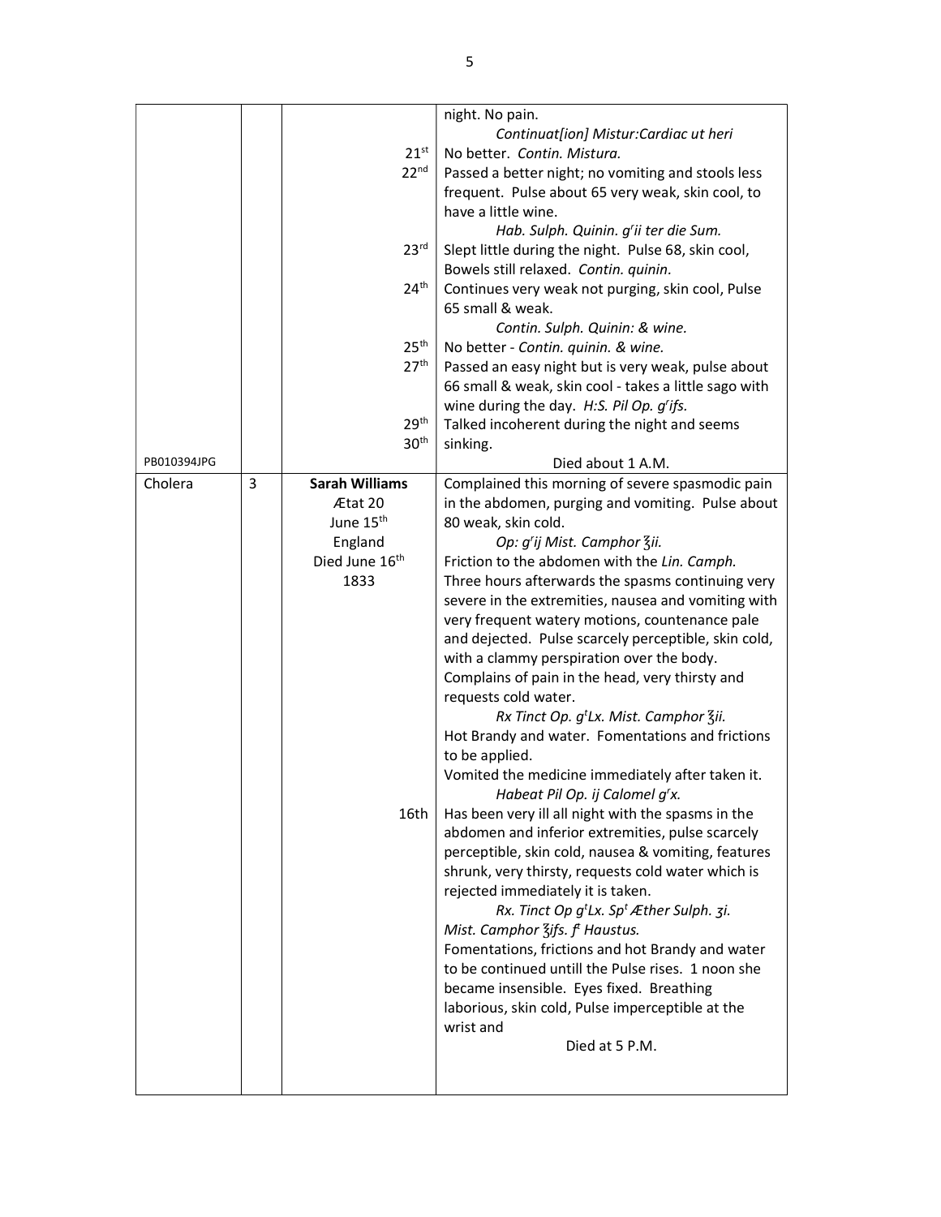|             |   |                            | night. No pain.                                          |
|-------------|---|----------------------------|----------------------------------------------------------|
|             |   |                            | Continuat[ion] Mistur:Cardiac ut heri                    |
|             |   | $21^{st}$                  | No better. Contin. Mistura.                              |
|             |   | 22 <sup>nd</sup>           | Passed a better night; no vomiting and stools less       |
|             |   |                            | frequent. Pulse about 65 very weak, skin cool, to        |
|             |   |                            | have a little wine.                                      |
|             |   |                            | Hab. Sulph. Quinin. g'ii ter die Sum.                    |
|             |   | 23 <sup>rd</sup>           | Slept little during the night. Pulse 68, skin cool,      |
|             |   |                            | Bowels still relaxed. Contin. quinin.                    |
|             |   | 24 <sup>th</sup>           | Continues very weak not purging, skin cool, Pulse        |
|             |   |                            | 65 small & weak.                                         |
|             |   |                            | Contin. Sulph. Quinin: & wine.                           |
|             |   | 25 <sup>th</sup>           | No better - Contin. quinin. & wine.                      |
|             |   | 27 <sup>th</sup>           | Passed an easy night but is very weak, pulse about       |
|             |   |                            | 66 small & weak, skin cool - takes a little sago with    |
|             |   |                            | wine during the day. H:S. Pil Op. g'ifs.                 |
|             |   | 29 <sup>th</sup>           | Talked incoherent during the night and seems             |
|             |   | 30 <sup>th</sup>           | sinking.                                                 |
| PB010394JPG |   |                            | Died about 1 A.M.                                        |
| Cholera     | 3 | <b>Sarah Williams</b>      | Complained this morning of severe spasmodic pain         |
|             |   | Ætat 20                    | in the abdomen, purging and vomiting. Pulse about        |
|             |   | June 15 <sup>th</sup>      | 80 weak, skin cold.                                      |
|             |   | England                    | Op: g'ij Mist. Camphor Zii.                              |
|             |   | Died June 16 <sup>th</sup> | Friction to the abdomen with the Lin. Camph.             |
|             |   | 1833                       | Three hours afterwards the spasms continuing very        |
|             |   |                            | severe in the extremities, nausea and vomiting with      |
|             |   |                            | very frequent watery motions, countenance pale           |
|             |   |                            | and dejected. Pulse scarcely perceptible, skin cold,     |
|             |   |                            | with a clammy perspiration over the body.                |
|             |   |                            | Complains of pain in the head, very thirsty and          |
|             |   |                            | requests cold water.                                     |
|             |   |                            | Rx Tinct Op. g <sup>t</sup> Lx. Mist. Camphor Zii.       |
|             |   |                            | Hot Brandy and water. Fomentations and frictions         |
|             |   |                            | to be applied.                                           |
|             |   |                            | Vomited the medicine immediately after taken it.         |
|             |   |                            | Habeat Pil Op. ij Calomel g'x.                           |
|             |   | 16th                       | Has been very ill all night with the spasms in the       |
|             |   |                            | abdomen and inferior extremities, pulse scarcely         |
|             |   |                            | perceptible, skin cold, nausea & vomiting, features      |
|             |   |                            | shrunk, very thirsty, requests cold water which is       |
|             |   |                            | rejected immediately it is taken.                        |
|             |   |                            | Rx. Tinct Op $g^t Lx$ . Sp <sup>t</sup> Æther Sulph. 3i. |
|             |   |                            | Mist. Camphor $\frac{7}{5}$ ifs. f <sup>t</sup> Haustus. |
|             |   |                            | Fomentations, frictions and hot Brandy and water         |
|             |   |                            | to be continued untill the Pulse rises. 1 noon she       |
|             |   |                            | became insensible. Eyes fixed. Breathing                 |
|             |   |                            | laborious, skin cold, Pulse imperceptible at the         |
|             |   |                            | wrist and                                                |
|             |   |                            |                                                          |
|             |   |                            | Died at 5 P.M.                                           |
|             |   |                            |                                                          |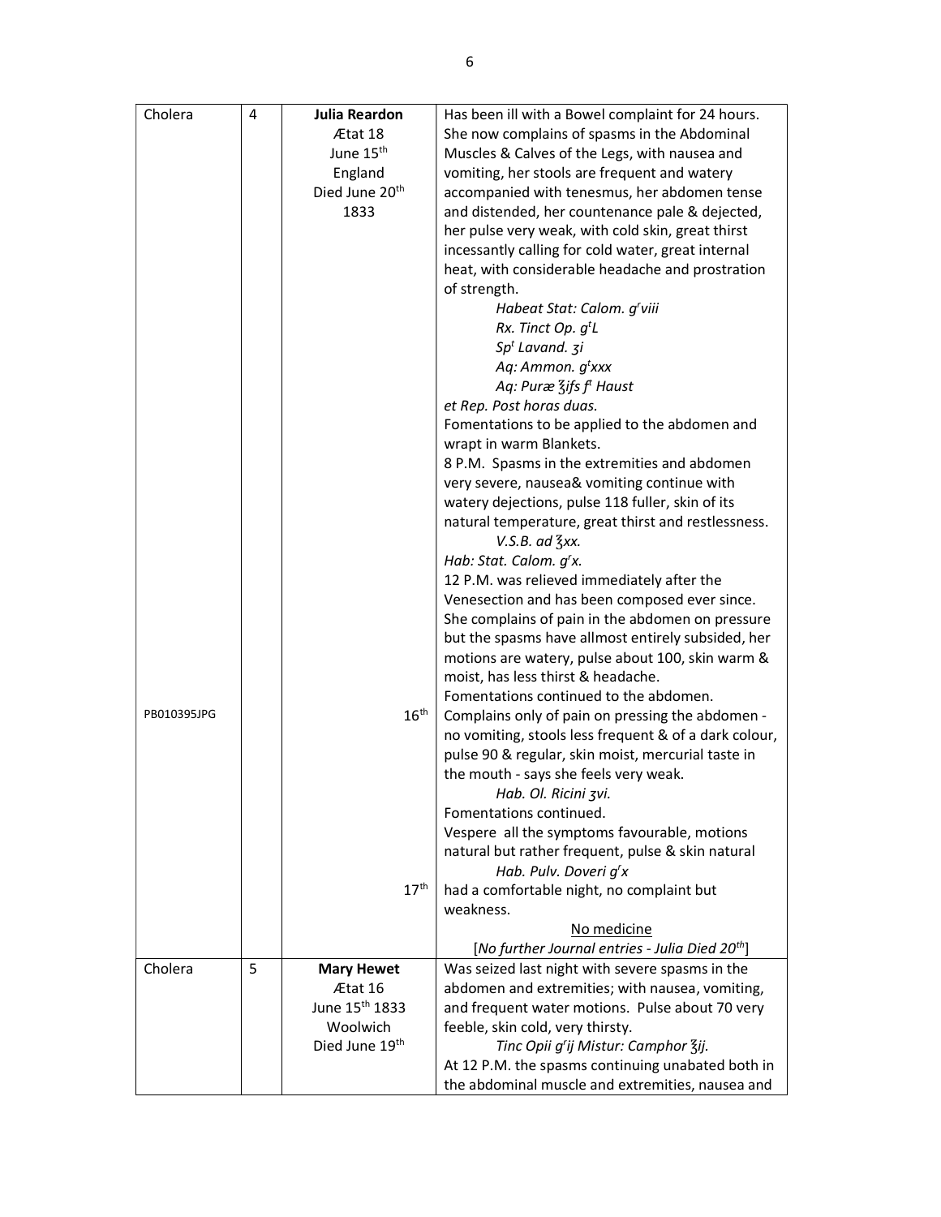| Cholera     | 4 | <b>Julia Reardon</b>       | Has been ill with a Bowel complaint for 24 hours.           |
|-------------|---|----------------------------|-------------------------------------------------------------|
|             |   | Ætat 18                    | She now complains of spasms in the Abdominal                |
|             |   | June 15 <sup>th</sup>      | Muscles & Calves of the Legs, with nausea and               |
|             |   | England                    | vomiting, her stools are frequent and watery                |
|             |   | Died June 20 <sup>th</sup> | accompanied with tenesmus, her abdomen tense                |
|             |   | 1833                       | and distended, her countenance pale & dejected,             |
|             |   |                            | her pulse very weak, with cold skin, great thirst           |
|             |   |                            | incessantly calling for cold water, great internal          |
|             |   |                            | heat, with considerable headache and prostration            |
|             |   |                            | of strength.                                                |
|             |   |                            | Habeat Stat: Calom. g'viii                                  |
|             |   |                            | Rx. Tinct Op. g <sup>t</sup> L                              |
|             |   |                            | Sp <sup>t</sup> Lavand. 3i                                  |
|             |   |                            | Aq: Ammon. g <sup>t</sup> xxx                               |
|             |   |                            | Aq: Puræ 3ifs f <sup>t</sup> Haust                          |
|             |   |                            | et Rep. Post horas duas.                                    |
|             |   |                            | Fomentations to be applied to the abdomen and               |
|             |   |                            | wrapt in warm Blankets.                                     |
|             |   |                            | 8 P.M. Spasms in the extremities and abdomen                |
|             |   |                            | very severe, nausea& vomiting continue with                 |
|             |   |                            | watery dejections, pulse 118 fuller, skin of its            |
|             |   |                            | natural temperature, great thirst and restlessness.         |
|             |   |                            | $V.S.B.$ ad $\frac{7}{3}xx.$                                |
|             |   |                            | Hab: Stat. Calom. g'x.                                      |
|             |   |                            | 12 P.M. was relieved immediately after the                  |
|             |   |                            | Venesection and has been composed ever since.               |
|             |   |                            | She complains of pain in the abdomen on pressure            |
|             |   |                            | but the spasms have allmost entirely subsided, her          |
|             |   |                            | motions are watery, pulse about 100, skin warm &            |
|             |   |                            | moist, has less thirst & headache.                          |
|             |   |                            | Fomentations continued to the abdomen.                      |
| PB010395JPG |   | $16^{\text{th}}$           | Complains only of pain on pressing the abdomen -            |
|             |   |                            | no vomiting, stools less frequent & of a dark colour,       |
|             |   |                            | pulse 90 & regular, skin moist, mercurial taste in          |
|             |   |                            | the mouth - says she feels very weak.                       |
|             |   |                            | Hab. Ol. Ricini zvi.                                        |
|             |   |                            | Fomentations continued.                                     |
|             |   |                            | Vespere all the symptoms favourable, motions                |
|             |   |                            | natural but rather frequent, pulse & skin natural           |
|             |   |                            | Hab. Pulv. Doveri g'x                                       |
|             |   | 17 <sup>th</sup>           | had a comfortable night, no complaint but                   |
|             |   |                            | weakness.                                                   |
|             |   |                            | No medicine                                                 |
|             |   |                            | [No further Journal entries - Julia Died 20 <sup>th</sup> ] |
| Cholera     | 5 | <b>Mary Hewet</b>          | Was seized last night with severe spasms in the             |
|             |   | Ætat 16<br>June 15th 1833  | abdomen and extremities; with nausea, vomiting,             |
|             |   |                            | and frequent water motions. Pulse about 70 very             |
|             |   | Woolwich<br>Died June 19th | feeble, skin cold, very thirsty.                            |
|             |   |                            | Tinc Opii g'ij Mistur: Camphor Zij.                         |
|             |   |                            | At 12 P.M. the spasms continuing unabated both in           |
|             |   |                            | the abdominal muscle and extremities, nausea and            |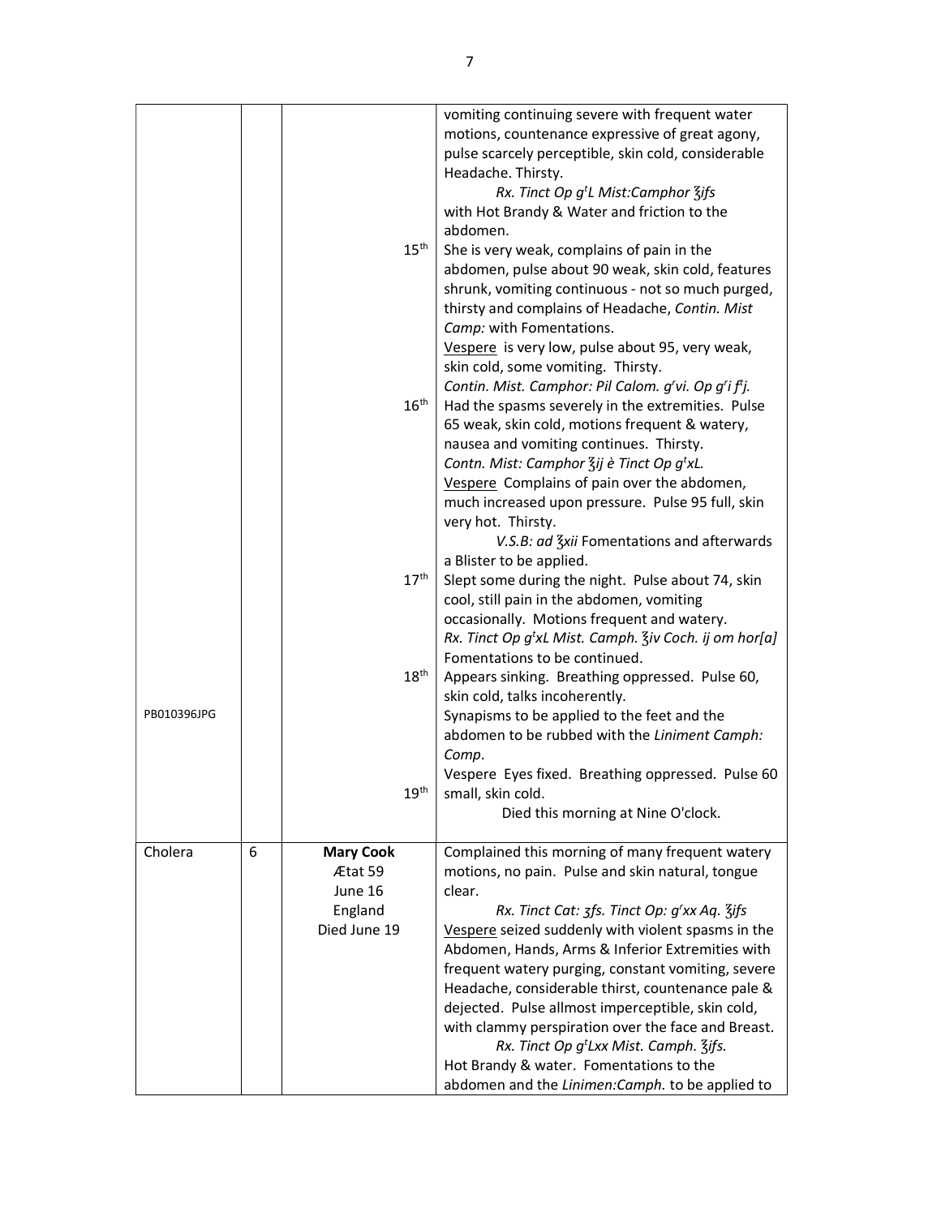|             |   |                                                                   | vomiting continuing severe with frequent water<br>motions, countenance expressive of great agony,<br>pulse scarcely perceptible, skin cold, considerable<br>Headache. Thirsty.<br>Rx. Tinct Op g <sup>t</sup> L Mist:Camphor 3ifs<br>with Hot Brandy & Water and friction to the<br>abdomen.                                                                                                                                                                                                                                                                                                                                                      |
|-------------|---|-------------------------------------------------------------------|---------------------------------------------------------------------------------------------------------------------------------------------------------------------------------------------------------------------------------------------------------------------------------------------------------------------------------------------------------------------------------------------------------------------------------------------------------------------------------------------------------------------------------------------------------------------------------------------------------------------------------------------------|
|             |   | $15^{\text{th}}$                                                  | She is very weak, complains of pain in the<br>abdomen, pulse about 90 weak, skin cold, features<br>shrunk, vomiting continuous - not so much purged,<br>thirsty and complains of Headache, Contin. Mist<br>Camp: with Fomentations.<br>Vespere is very low, pulse about 95, very weak,<br>skin cold, some vomiting. Thirsty.                                                                                                                                                                                                                                                                                                                      |
|             |   | $16^{\text{th}}$                                                  | Contin. Mist. Camphor: Pil Calom. g'vi. Op g'i f <sup>t</sup> j.<br>Had the spasms severely in the extremities. Pulse<br>65 weak, skin cold, motions frequent & watery,<br>nausea and vomiting continues. Thirsty.<br>Contn. Mist: Camphor 3ij è Tinct Op g'xL.<br>Vespere Complains of pain over the abdomen,<br>much increased upon pressure. Pulse 95 full, skin<br>very hot. Thirsty.<br>V.S.B: ad Zxii Fomentations and afterwards                                                                                                                                                                                                           |
|             |   | $17^{\text{th}}$                                                  | a Blister to be applied.<br>Slept some during the night. Pulse about 74, skin<br>cool, still pain in the abdomen, vomiting<br>occasionally. Motions frequent and watery.<br>Rx. Tinct Op g <sup>t</sup> xL Mist. Camph. Ziv Coch. ij om hor[a]<br>Fomentations to be continued.                                                                                                                                                                                                                                                                                                                                                                   |
| PB010396JPG |   | $18^{\text{th}}$<br>19 <sup>th</sup>                              | Appears sinking. Breathing oppressed. Pulse 60,<br>skin cold, talks incoherently.<br>Synapisms to be applied to the feet and the<br>abdomen to be rubbed with the Liniment Camph:<br>Comp.<br>Vespere Eyes fixed. Breathing oppressed. Pulse 60<br>small, skin cold.<br>Died this morning at Nine O'clock.                                                                                                                                                                                                                                                                                                                                        |
| Cholera     | 6 | <b>Mary Cook</b><br>Ætat 59<br>June 16<br>England<br>Died June 19 | Complained this morning of many frequent watery<br>motions, no pain. Pulse and skin natural, tongue<br>clear.<br>Rx. Tinct Cat: 3fs. Tinct Op: g'xx Aq. 3ifs<br>Vespere seized suddenly with violent spasms in the<br>Abdomen, Hands, Arms & Inferior Extremities with<br>frequent watery purging, constant vomiting, severe<br>Headache, considerable thirst, countenance pale &<br>dejected. Pulse allmost imperceptible, skin cold,<br>with clammy perspiration over the face and Breast.<br>Rx. Tinct Op g <sup>t</sup> Lxx Mist. Camph. 3ifs.<br>Hot Brandy & water. Fomentations to the<br>abdomen and the Linimen: Camph. to be applied to |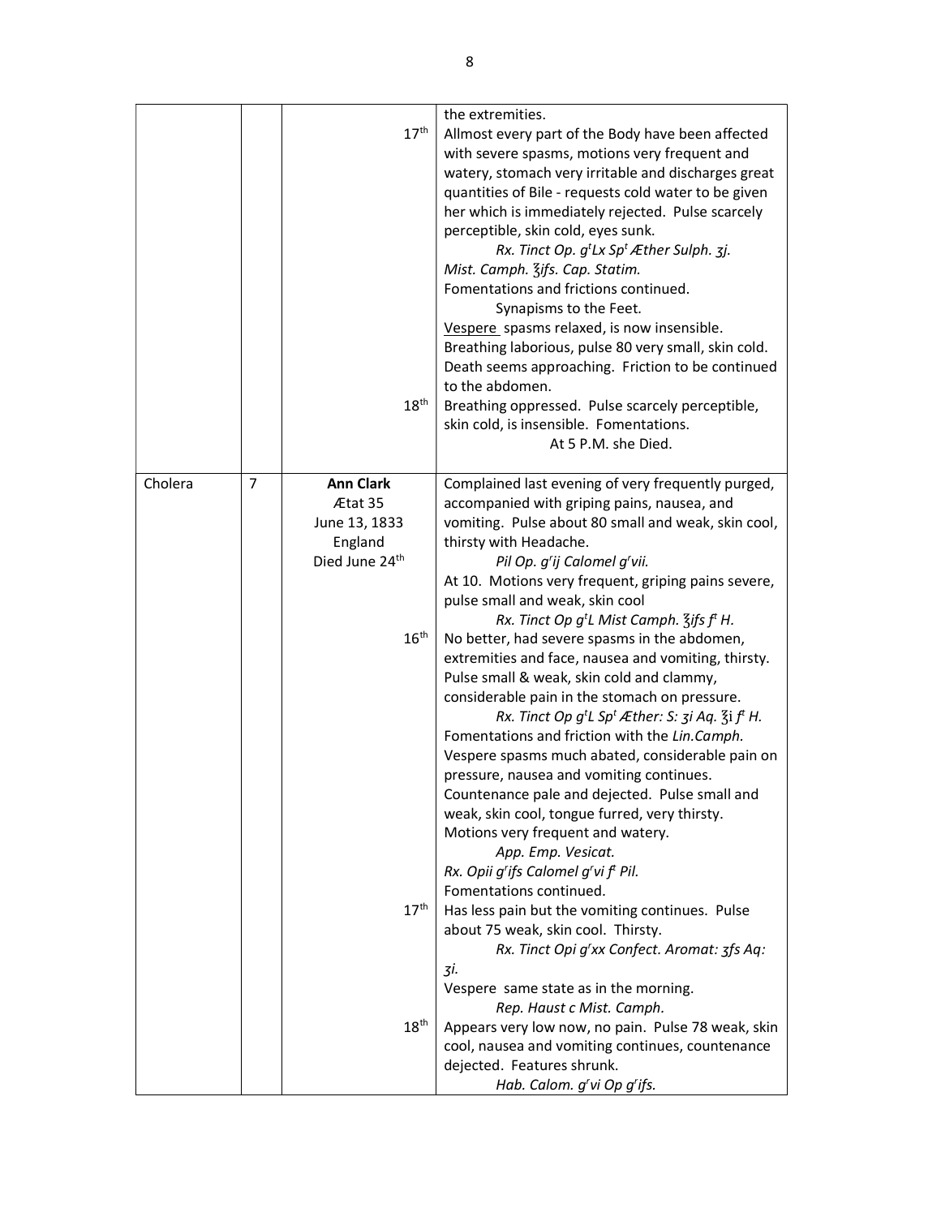|         |                |                  | the extremities.                                                                           |
|---------|----------------|------------------|--------------------------------------------------------------------------------------------|
|         |                | 17 <sup>th</sup> | Allmost every part of the Body have been affected                                          |
|         |                |                  | with severe spasms, motions very frequent and                                              |
|         |                |                  | watery, stomach very irritable and discharges great                                        |
|         |                |                  | quantities of Bile - requests cold water to be given                                       |
|         |                |                  | her which is immediately rejected. Pulse scarcely                                          |
|         |                |                  |                                                                                            |
|         |                |                  | perceptible, skin cold, eyes sunk.                                                         |
|         |                |                  | Rx. Tinct Op. $g^t Lx$ Sp <sup>t</sup> Æther Sulph. 3j.<br>Mist. Camph. 3ifs. Cap. Statim. |
|         |                |                  | Fomentations and frictions continued.                                                      |
|         |                |                  | Synapisms to the Feet.                                                                     |
|         |                |                  | Vespere spasms relaxed, is now insensible.                                                 |
|         |                |                  | Breathing laborious, pulse 80 very small, skin cold.                                       |
|         |                |                  | Death seems approaching. Friction to be continued                                          |
|         |                |                  | to the abdomen.                                                                            |
|         |                | $18^{\text{th}}$ | Breathing oppressed. Pulse scarcely perceptible,                                           |
|         |                |                  | skin cold, is insensible. Fomentations.                                                    |
|         |                |                  | At 5 P.M. she Died.                                                                        |
|         |                |                  |                                                                                            |
| Cholera | $\overline{7}$ | <b>Ann Clark</b> | Complained last evening of very frequently purged,                                         |
|         |                | Ætat 35          | accompanied with griping pains, nausea, and                                                |
|         |                | June 13, 1833    | vomiting. Pulse about 80 small and weak, skin cool,                                        |
|         |                | England          | thirsty with Headache.                                                                     |
|         |                | Died June 24th   | Pil Op. g'ij Calomel g'vii.                                                                |
|         |                |                  | At 10. Motions very frequent, griping pains severe,                                        |
|         |                |                  | pulse small and weak, skin cool                                                            |
|         |                |                  | Rx. Tinct Op $g^t$ L Mist Camph. $\zeta$ ifs $f^t$ H.                                      |
|         |                | 16 <sup>th</sup> | No better, had severe spasms in the abdomen,                                               |
|         |                |                  | extremities and face, nausea and vomiting, thirsty.                                        |
|         |                |                  | Pulse small & weak, skin cold and clammy,                                                  |
|         |                |                  | considerable pain in the stomach on pressure.                                              |
|         |                |                  | Rx. Tinct Op $g^tL$ Sp <sup>t</sup> Æther: S: $\zeta$ i Aq. $\zeta$ i f <sup>t</sup> H.    |
|         |                |                  | Fomentations and friction with the Lin.Camph.                                              |
|         |                |                  | Vespere spasms much abated, considerable pain on                                           |
|         |                |                  | pressure, nausea and vomiting continues.                                                   |
|         |                |                  | Countenance pale and dejected. Pulse small and                                             |
|         |                |                  | weak, skin cool, tongue furred, very thirsty.                                              |
|         |                |                  | Motions very frequent and watery.                                                          |
|         |                |                  | App. Emp. Vesicat.                                                                         |
|         |                |                  | Rx. Opii g'ifs Calomel g'vi f <sup>t</sup> Pil.                                            |
|         |                |                  | Fomentations continued.                                                                    |
|         |                | 17 <sup>th</sup> | Has less pain but the vomiting continues. Pulse                                            |
|         |                |                  | about 75 weak, skin cool. Thirsty.<br>Rx. Tinct Opi g'xx Confect. Aromat: 3fs Aq:          |
|         |                |                  | 3i.                                                                                        |
|         |                |                  | Vespere same state as in the morning.                                                      |
|         |                |                  | Rep. Haust c Mist. Camph.                                                                  |
|         |                | 18 <sup>th</sup> | Appears very low now, no pain. Pulse 78 weak, skin                                         |
|         |                |                  | cool, nausea and vomiting continues, countenance                                           |
|         |                |                  | dejected. Features shrunk.                                                                 |
|         |                |                  | Hab. Calom. g'vi Op g'ifs.                                                                 |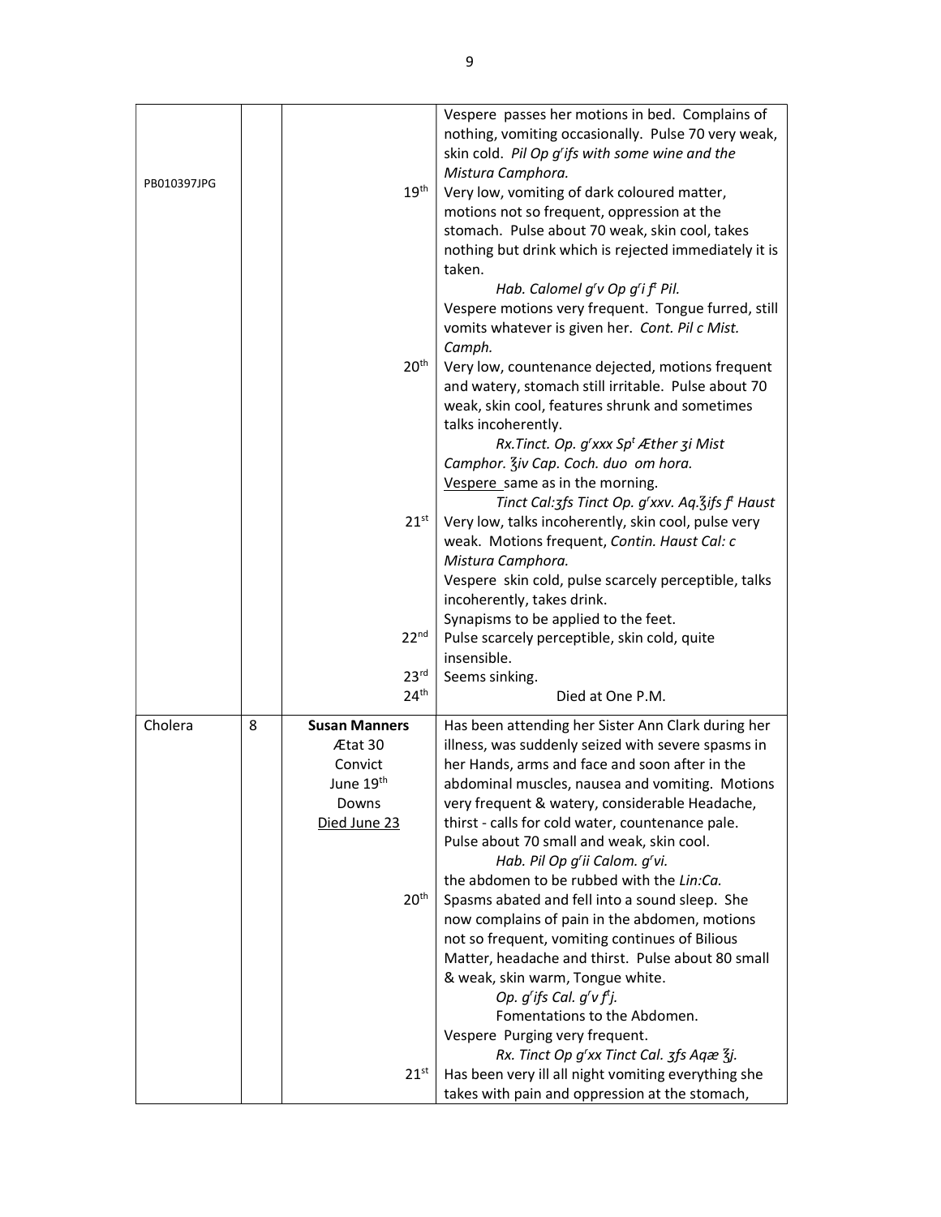| PB010397JPG |   | $19^{\text{th}}$                                                                                                 | Vespere passes her motions in bed. Complains of<br>nothing, vomiting occasionally. Pulse 70 very weak,<br>skin cold. Pil Op g'ifs with some wine and the<br>Mistura Camphora.<br>Very low, vomiting of dark coloured matter,<br>motions not so frequent, oppression at the<br>stomach. Pulse about 70 weak, skin cool, takes<br>nothing but drink which is rejected immediately it is<br>taken.<br>Hab. Calomel g'v Op g'i f <sup>t</sup> Pil.                                                                                                                                                                                                                                                                                                                                                                                              |
|-------------|---|------------------------------------------------------------------------------------------------------------------|---------------------------------------------------------------------------------------------------------------------------------------------------------------------------------------------------------------------------------------------------------------------------------------------------------------------------------------------------------------------------------------------------------------------------------------------------------------------------------------------------------------------------------------------------------------------------------------------------------------------------------------------------------------------------------------------------------------------------------------------------------------------------------------------------------------------------------------------|
|             |   | 20 <sup>th</sup>                                                                                                 | Vespere motions very frequent. Tongue furred, still<br>vomits whatever is given her. Cont. Pil c Mist.<br>Camph.<br>Very low, countenance dejected, motions frequent<br>and watery, stomach still irritable. Pulse about 70<br>weak, skin cool, features shrunk and sometimes<br>talks incoherently.                                                                                                                                                                                                                                                                                                                                                                                                                                                                                                                                        |
|             |   | $21^{st}$                                                                                                        | Rx. Tinct. Op. $g'$ xxx Sp <sup>t</sup> Æther 3i Mist<br>Camphor. Ziv Cap. Coch. duo om hora.<br>Vespere same as in the morning.<br>Tinct Cal: 3fs Tinct Op. g'xxv. Aq. 3ifs f <sup>t</sup> Haust<br>Very low, talks incoherently, skin cool, pulse very<br>weak. Motions frequent, Contin. Haust Cal: c<br>Mistura Camphora.<br>Vespere skin cold, pulse scarcely perceptible, talks<br>incoherently, takes drink.                                                                                                                                                                                                                                                                                                                                                                                                                         |
|             |   | 22 <sup>nd</sup>                                                                                                 | Synapisms to be applied to the feet.<br>Pulse scarcely perceptible, skin cold, quite<br>insensible.                                                                                                                                                                                                                                                                                                                                                                                                                                                                                                                                                                                                                                                                                                                                         |
|             |   | 23 <sup>rd</sup><br>24 <sup>th</sup>                                                                             | Seems sinking.<br>Died at One P.M.                                                                                                                                                                                                                                                                                                                                                                                                                                                                                                                                                                                                                                                                                                                                                                                                          |
| Cholera     | 8 | <b>Susan Manners</b><br>Ætat 30<br>Convict<br>June 19 <sup>th</sup><br>Downs<br>Died June 23<br>20 <sup>th</sup> | Has been attending her Sister Ann Clark during her<br>illness, was suddenly seized with severe spasms in<br>her Hands, arms and face and soon after in the<br>abdominal muscles, nausea and vomiting. Motions<br>very frequent & watery, considerable Headache,<br>thirst - calls for cold water, countenance pale.<br>Pulse about 70 small and weak, skin cool.<br>Hab. Pil Op g'ii Calom. g'vi.<br>the abdomen to be rubbed with the Lin:Ca.<br>Spasms abated and fell into a sound sleep. She<br>now complains of pain in the abdomen, motions<br>not so frequent, vomiting continues of Bilious<br>Matter, headache and thirst. Pulse about 80 small<br>& weak, skin warm, Tongue white.<br>Op. $g'$ ifs Cal. $g'v f'$ j.<br>Fomentations to the Abdomen.<br>Vespere Purging very frequent.<br>Rx. Tinct Op g'xx Tinct Cal. 3fs Aqæ 3j. |
|             |   | $21^{st}$                                                                                                        | Has been very ill all night vomiting everything she<br>takes with pain and oppression at the stomach,                                                                                                                                                                                                                                                                                                                                                                                                                                                                                                                                                                                                                                                                                                                                       |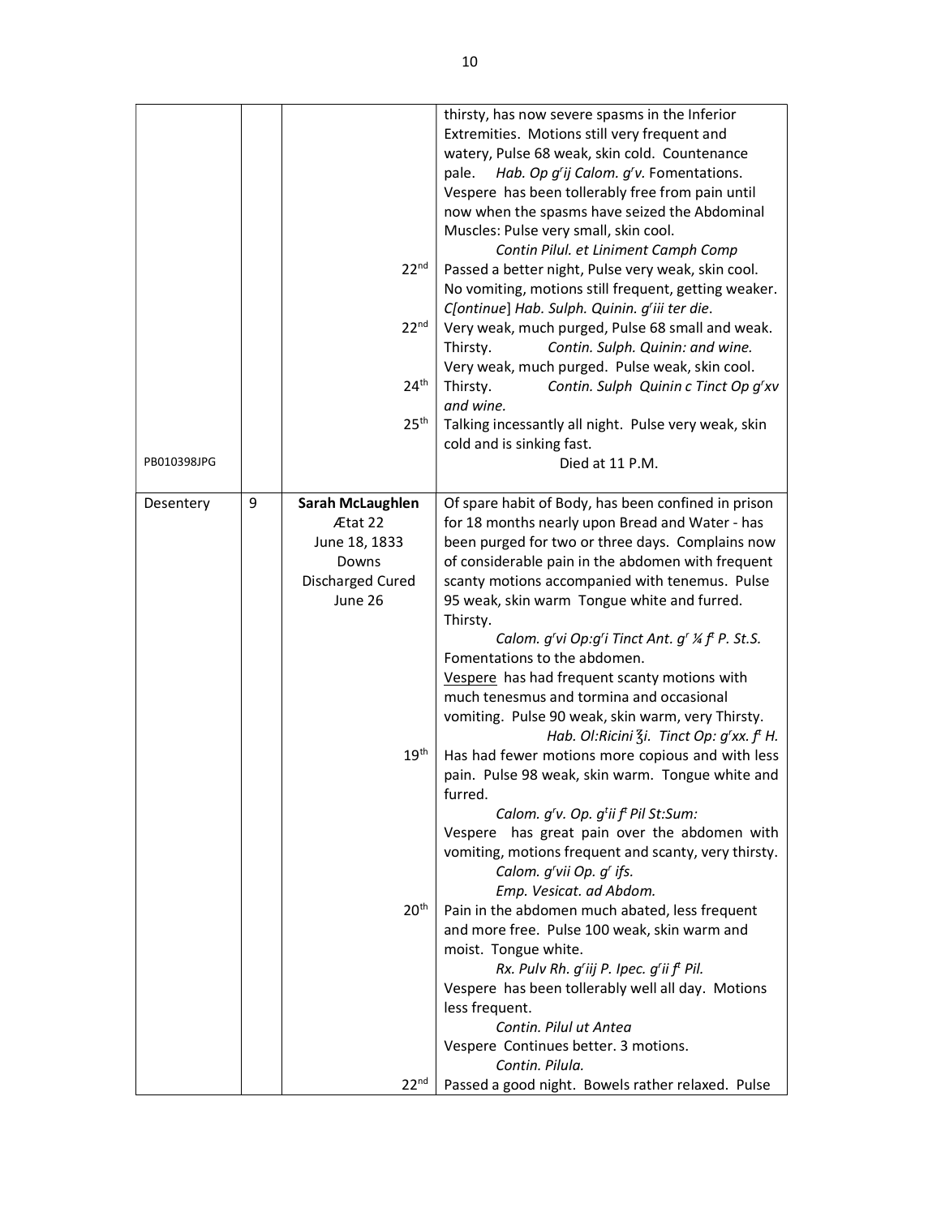|             |   |                  | thirsty, has now severe spasms in the Inferior                                                        |
|-------------|---|------------------|-------------------------------------------------------------------------------------------------------|
|             |   |                  | Extremities. Motions still very frequent and                                                          |
|             |   |                  | watery, Pulse 68 weak, skin cold. Countenance                                                         |
|             |   |                  | pale.<br>Hab. Op g'ij Calom. g'v. Fomentations.                                                       |
|             |   |                  | Vespere has been tollerably free from pain until                                                      |
|             |   |                  | now when the spasms have seized the Abdominal                                                         |
|             |   |                  | Muscles: Pulse very small, skin cool.                                                                 |
|             |   |                  | Contin Pilul. et Liniment Camph Comp                                                                  |
|             |   | 22 <sup>nd</sup> | Passed a better night, Pulse very weak, skin cool.                                                    |
|             |   |                  | No vomiting, motions still frequent, getting weaker.<br>C[ontinue] Hab. Sulph. Quinin. g'iii ter die. |
|             |   | 22 <sup>nd</sup> | Very weak, much purged, Pulse 68 small and weak.                                                      |
|             |   |                  | Thirsty.<br>Contin. Sulph. Quinin: and wine.                                                          |
|             |   |                  | Very weak, much purged. Pulse weak, skin cool.                                                        |
|             |   | 24 <sup>th</sup> | Thirsty.<br>Contin. Sulph Quinin c Tinct Op g'xv                                                      |
|             |   |                  | and wine.                                                                                             |
|             |   | 25 <sup>th</sup> | Talking incessantly all night. Pulse very weak, skin                                                  |
|             |   |                  | cold and is sinking fast.                                                                             |
| PB010398JPG |   |                  | Died at 11 P.M.                                                                                       |
|             |   |                  |                                                                                                       |
| Desentery   | 9 | Sarah McLaughlen | Of spare habit of Body, has been confined in prison                                                   |
|             |   | Ætat 22          | for 18 months nearly upon Bread and Water - has                                                       |
|             |   | June 18, 1833    | been purged for two or three days. Complains now                                                      |
|             |   | Downs            | of considerable pain in the abdomen with frequent                                                     |
|             |   | Discharged Cured | scanty motions accompanied with tenemus. Pulse                                                        |
|             |   | June 26          | 95 weak, skin warm Tongue white and furred.                                                           |
|             |   |                  | Thirsty.                                                                                              |
|             |   |                  | Calom. g'vi Op:g'i Tinct Ant. g' ¼ f' P. St.S.<br>Fomentations to the abdomen.                        |
|             |   |                  | Vespere has had frequent scanty motions with                                                          |
|             |   |                  | much tenesmus and tormina and occasional                                                              |
|             |   |                  | vomiting. Pulse 90 weak, skin warm, very Thirsty.                                                     |
|             |   |                  | Hab. Ol:Ricini $\zeta$ i. Tinct Op: g'xx. f <sup>t</sup> H.                                           |
|             |   | 19 <sup>th</sup> | Has had fewer motions more copious and with less                                                      |
|             |   |                  | pain. Pulse 98 weak, skin warm. Tongue white and                                                      |
|             |   |                  | furred.                                                                                               |
|             |   |                  | Calom. g'v. Op. g <sup>t</sup> ii f <sup>t</sup> Pil St:Sum:                                          |
|             |   |                  | Vespere has great pain over the abdomen with                                                          |
|             |   |                  | vomiting, motions frequent and scanty, very thirsty.                                                  |
|             |   |                  | Calom. g'vii Op. g' ifs.                                                                              |
|             |   |                  | Emp. Vesicat. ad Abdom.                                                                               |
|             |   | 20 <sup>th</sup> | Pain in the abdomen much abated, less frequent                                                        |
|             |   |                  | and more free. Pulse 100 weak, skin warm and                                                          |
|             |   |                  | moist. Tongue white.                                                                                  |
|             |   |                  | Rx. Pulv Rh. g'iij P. Ipec. g'ii f <sup>t</sup> Pil.                                                  |
|             |   |                  | Vespere has been tollerably well all day. Motions                                                     |
|             |   |                  | less frequent.                                                                                        |
|             |   |                  | Contin. Pilul ut Antea                                                                                |
|             |   |                  | Vespere Continues better. 3 motions.                                                                  |
|             |   |                  | Contin. Pilula.                                                                                       |
|             |   | 22 <sup>nd</sup> | Passed a good night. Bowels rather relaxed. Pulse                                                     |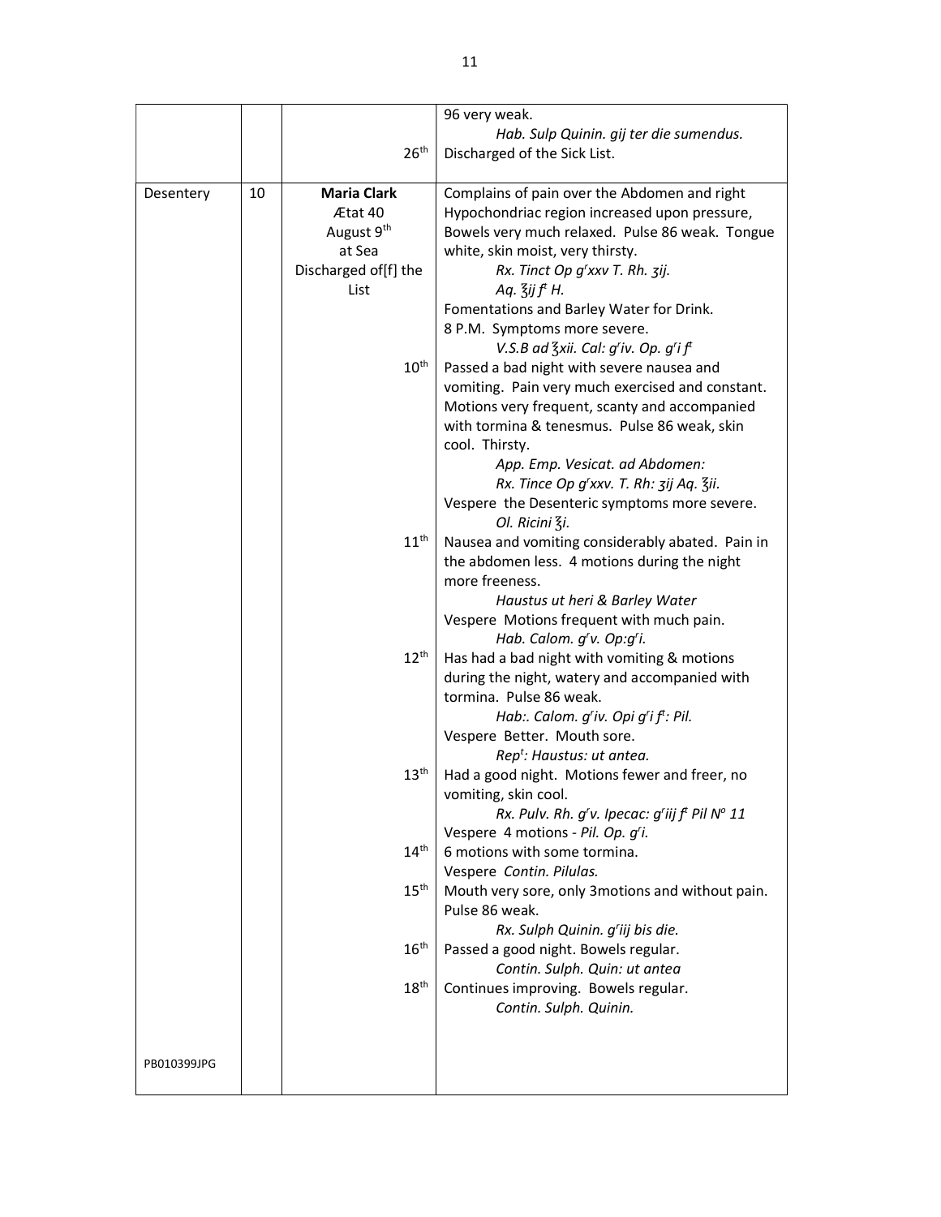|             |    |                        | 96 very weak.                                                                     |
|-------------|----|------------------------|-----------------------------------------------------------------------------------|
|             |    |                        | Hab. Sulp Quinin. gij ter die sumendus.                                           |
|             |    | 26 <sup>th</sup>       | Discharged of the Sick List.                                                      |
|             |    |                        |                                                                                   |
|             |    |                        |                                                                                   |
| Desentery   | 10 | <b>Maria Clark</b>     | Complains of pain over the Abdomen and right                                      |
|             |    | Ætat 40                | Hypochondriac region increased upon pressure,                                     |
|             |    | August 9 <sup>th</sup> | Bowels very much relaxed. Pulse 86 weak. Tongue                                   |
|             |    | at Sea                 | white, skin moist, very thirsty.                                                  |
|             |    | Discharged of[f] the   | Rx. Tinct Op g'xxv T. Rh. 3ij.                                                    |
|             |    | List                   | Aq. $\overline{3}$ ij f <sup>t</sup> H.                                           |
|             |    |                        | Fomentations and Barley Water for Drink.                                          |
|             |    |                        | 8 P.M. Symptoms more severe.                                                      |
|             |    |                        | V.S.B ad $\frac{7}{3}$ xii. Cal: g'iv. Op. g'i f <sup>t</sup>                     |
|             |    | $10^{\text{th}}$       | Passed a bad night with severe nausea and                                         |
|             |    |                        | vomiting. Pain very much exercised and constant.                                  |
|             |    |                        | Motions very frequent, scanty and accompanied                                     |
|             |    |                        | with tormina & tenesmus. Pulse 86 weak, skin                                      |
|             |    |                        | cool. Thirsty.                                                                    |
|             |    |                        | App. Emp. Vesicat. ad Abdomen:                                                    |
|             |    |                        | Rx. Tince Op g'xxv. T. Rh: 3ij Aq. 3ii.                                           |
|             |    |                        | Vespere the Desenteric symptoms more severe.                                      |
|             |    |                        | Ol. Ricini 3i.                                                                    |
|             |    | $11^{\text{th}}$       | Nausea and vomiting considerably abated. Pain in                                  |
|             |    |                        | the abdomen less. 4 motions during the night                                      |
|             |    |                        | more freeness.                                                                    |
|             |    |                        | Haustus ut heri & Barley Water                                                    |
|             |    |                        | Vespere Motions frequent with much pain.                                          |
|             |    |                        | Hab. Calom. g'v. Op:g'i.                                                          |
|             |    | $12^{\text{th}}$       | Has had a bad night with vomiting & motions                                       |
|             |    |                        | during the night, watery and accompanied with                                     |
|             |    |                        | tormina. Pulse 86 weak.                                                           |
|             |    |                        |                                                                                   |
|             |    |                        | Hab:. Calom. g'iv. Opi g'i f <sup>t</sup> : Pil.                                  |
|             |    |                        | Vespere Better. Mouth sore.                                                       |
|             |    | 13 <sup>th</sup>       | Rep <sup>t</sup> : Haustus: ut antea.                                             |
|             |    |                        | Had a good night. Motions fewer and freer, no                                     |
|             |    |                        | vomiting, skin cool.<br>Rx. Pulv. Rh. g'v. Ipecac: g'iij f <sup>t</sup> Pil Nº 11 |
|             |    |                        | Vespere 4 motions - Pil. Op. g'i.                                                 |
|             |    | 14 <sup>th</sup>       | 6 motions with some tormina.                                                      |
|             |    |                        | Vespere Contin. Pilulas.                                                          |
|             |    | $15^{\text{th}}$       |                                                                                   |
|             |    |                        | Mouth very sore, only 3motions and without pain.<br>Pulse 86 weak.                |
|             |    |                        | Rx. Sulph Quinin. g'iij bis die.                                                  |
|             |    | $16^{\text{th}}$       |                                                                                   |
|             |    |                        | Passed a good night. Bowels regular.                                              |
|             |    | 18 <sup>th</sup>       | Contin. Sulph. Quin: ut antea                                                     |
|             |    |                        | Continues improving. Bowels regular.<br>Contin. Sulph. Quinin.                    |
|             |    |                        |                                                                                   |
|             |    |                        |                                                                                   |
| PB010399JPG |    |                        |                                                                                   |
|             |    |                        |                                                                                   |
|             |    |                        |                                                                                   |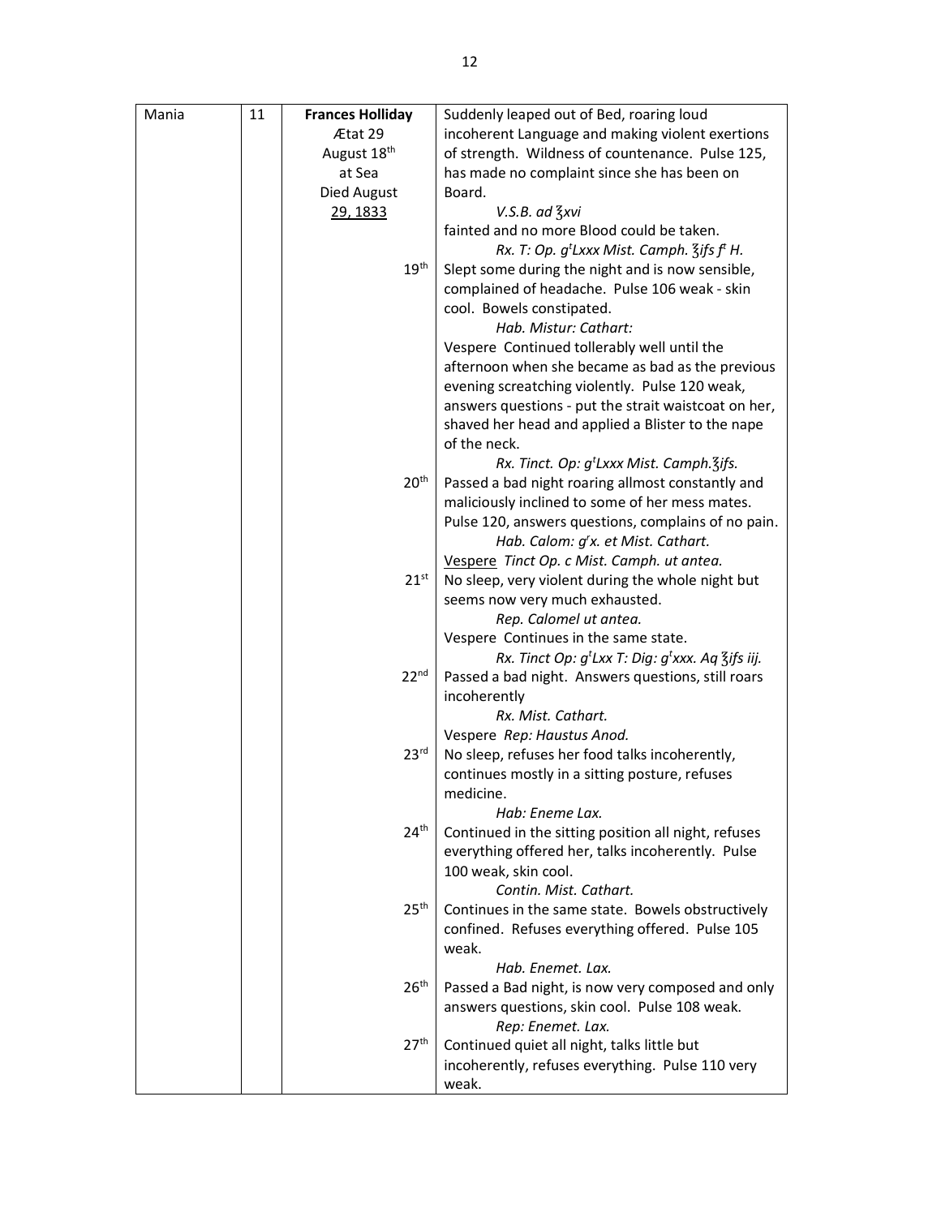| Mania | 11 | <b>Frances Holliday</b> | Suddenly leaped out of Bed, roaring loud                                                                     |
|-------|----|-------------------------|--------------------------------------------------------------------------------------------------------------|
|       |    | Ætat 29                 | incoherent Language and making violent exertions                                                             |
|       |    | August 18 <sup>th</sup> | of strength. Wildness of countenance. Pulse 125,                                                             |
|       |    | at Sea                  | has made no complaint since she has been on                                                                  |
|       |    | Died August             | Board.                                                                                                       |
|       |    | 29, 1833                | V.S.B. ad 3xvi                                                                                               |
|       |    |                         | fainted and no more Blood could be taken.                                                                    |
|       |    |                         | Rx. T: Op. g <sup>t</sup> Lxxx Mist. Camph. 3ifs f <sup>t</sup> H.                                           |
|       |    | 19 <sup>th</sup>        | Slept some during the night and is now sensible,                                                             |
|       |    |                         | complained of headache. Pulse 106 weak - skin                                                                |
|       |    |                         | cool. Bowels constipated.                                                                                    |
|       |    |                         | Hab. Mistur: Cathart:                                                                                        |
|       |    |                         | Vespere Continued tollerably well until the                                                                  |
|       |    |                         | afternoon when she became as bad as the previous                                                             |
|       |    |                         | evening screatching violently. Pulse 120 weak,                                                               |
|       |    |                         | answers questions - put the strait waistcoat on her,                                                         |
|       |    |                         | shaved her head and applied a Blister to the nape                                                            |
|       |    |                         | of the neck.                                                                                                 |
|       |    | 20 <sup>th</sup>        | Rx. Tinct. Op: g <sup>t</sup> Lxxx Mist. Camph. 3ifs.<br>Passed a bad night roaring allmost constantly and   |
|       |    |                         | maliciously inclined to some of her mess mates.                                                              |
|       |    |                         | Pulse 120, answers questions, complains of no pain.                                                          |
|       |    |                         | Hab. Calom: g'x. et Mist. Cathart.                                                                           |
|       |    |                         | Vespere Tinct Op. c Mist. Camph. ut antea.                                                                   |
|       |    | $21^{st}$               | No sleep, very violent during the whole night but                                                            |
|       |    |                         | seems now very much exhausted.                                                                               |
|       |    |                         | Rep. Calomel ut antea.                                                                                       |
|       |    |                         | Vespere Continues in the same state.<br>Rx. Tinct Op: $g^t$ Lxx T: Dig: $g^t$ xxx. Aq $\frac{7}{3}$ ifs iij. |
|       |    | 22 <sup>nd</sup>        | Passed a bad night. Answers questions, still roars                                                           |
|       |    |                         | incoherently                                                                                                 |
|       |    |                         | Rx. Mist. Cathart.                                                                                           |
|       |    |                         | Vespere Rep: Haustus Anod.                                                                                   |
|       |    | 23 <sup>rd</sup>        | No sleep, refuses her food talks incoherently,                                                               |
|       |    |                         | continues mostly in a sitting posture, refuses                                                               |
|       |    |                         | medicine.                                                                                                    |
|       |    |                         | Hab: Eneme Lax.                                                                                              |
|       |    | $24^{\text{th}}$        | Continued in the sitting position all night, refuses                                                         |
|       |    |                         | everything offered her, talks incoherently. Pulse                                                            |
|       |    |                         | 100 weak, skin cool.                                                                                         |
|       |    |                         | Contin. Mist. Cathart.                                                                                       |
|       |    | $25^{\text{th}}$        | Continues in the same state. Bowels obstructively                                                            |
|       |    |                         | confined. Refuses everything offered. Pulse 105<br>weak.                                                     |
|       |    |                         | Hab. Enemet. Lax.                                                                                            |
|       |    | 26 <sup>th</sup>        | Passed a Bad night, is now very composed and only                                                            |
|       |    |                         | answers questions, skin cool. Pulse 108 weak.                                                                |
|       |    |                         | Rep: Enemet. Lax.                                                                                            |
|       |    | 27 <sup>th</sup>        | Continued quiet all night, talks little but                                                                  |
|       |    |                         | incoherently, refuses everything. Pulse 110 very<br>weak.                                                    |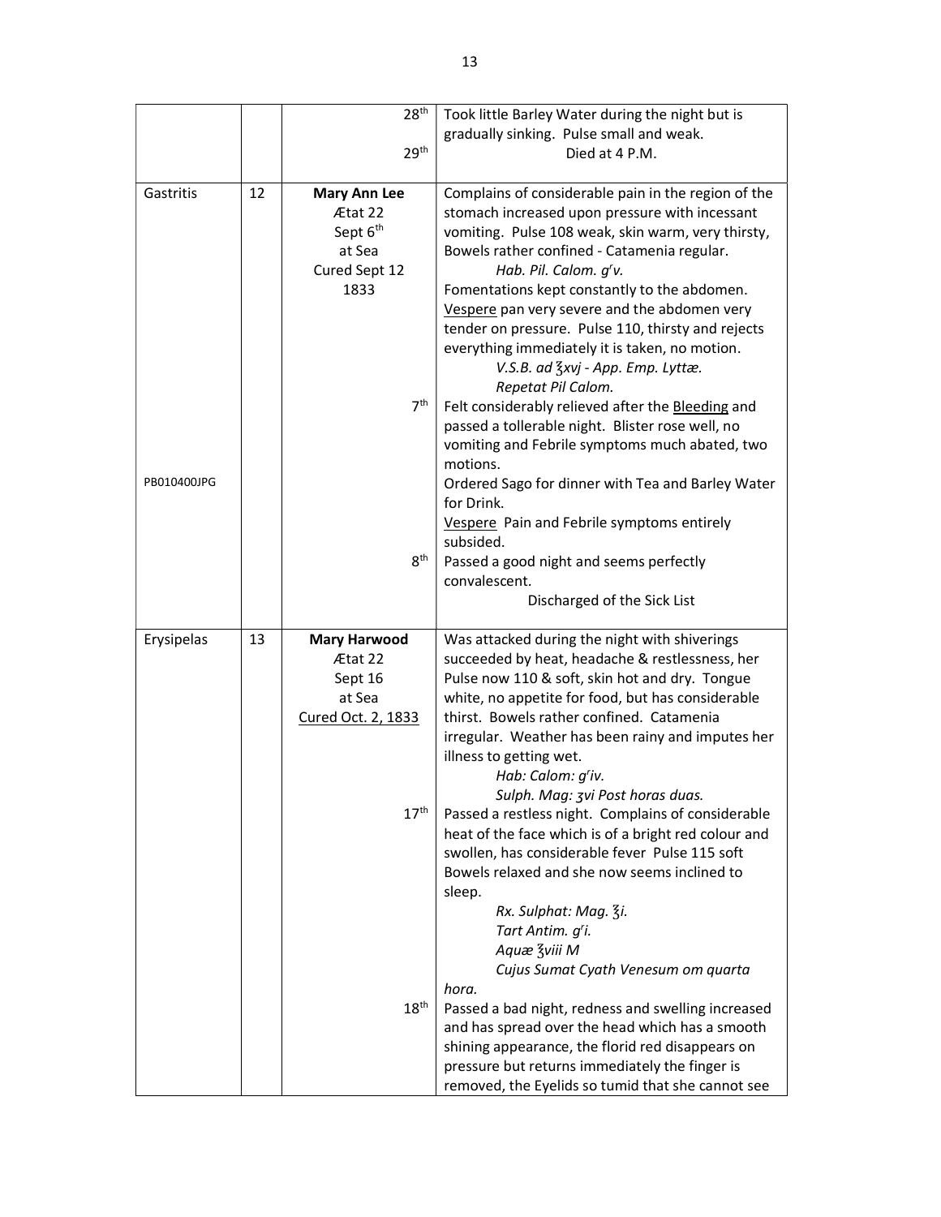|             |    | 28 <sup>th</sup>                                                                              | Took little Barley Water during the night but is                                                                                                                                                                                                                                                                                                                                                                                                                                                                                                                                                                                                 |
|-------------|----|-----------------------------------------------------------------------------------------------|--------------------------------------------------------------------------------------------------------------------------------------------------------------------------------------------------------------------------------------------------------------------------------------------------------------------------------------------------------------------------------------------------------------------------------------------------------------------------------------------------------------------------------------------------------------------------------------------------------------------------------------------------|
|             |    |                                                                                               | gradually sinking. Pulse small and weak.                                                                                                                                                                                                                                                                                                                                                                                                                                                                                                                                                                                                         |
|             |    | 29 <sup>th</sup>                                                                              | Died at 4 P.M.                                                                                                                                                                                                                                                                                                                                                                                                                                                                                                                                                                                                                                   |
|             |    |                                                                                               |                                                                                                                                                                                                                                                                                                                                                                                                                                                                                                                                                                                                                                                  |
| Gastritis   | 12 | <b>Mary Ann Lee</b><br>Ætat 22<br>Sept 6 <sup>th</sup><br>at Sea<br>Cured Sept 12<br>1833     | Complains of considerable pain in the region of the<br>stomach increased upon pressure with incessant<br>vomiting. Pulse 108 weak, skin warm, very thirsty,<br>Bowels rather confined - Catamenia regular.<br>Hab. Pil. Calom. g'v.<br>Fomentations kept constantly to the abdomen.<br>Vespere pan very severe and the abdomen very                                                                                                                                                                                                                                                                                                              |
|             |    |                                                                                               | tender on pressure. Pulse 110, thirsty and rejects<br>everything immediately it is taken, no motion.<br>V.S.B. ad $\frac{7}{5}$ xvj - App. Emp. Lyttæ.<br>Repetat Pil Calom.                                                                                                                                                                                                                                                                                                                                                                                                                                                                     |
|             |    | 7 <sup>th</sup>                                                                               | Felt considerably relieved after the Bleeding and<br>passed a tollerable night. Blister rose well, no<br>vomiting and Febrile symptoms much abated, two<br>motions.                                                                                                                                                                                                                                                                                                                                                                                                                                                                              |
| PB010400JPG |    |                                                                                               | Ordered Sago for dinner with Tea and Barley Water<br>for Drink.<br>Vespere Pain and Febrile symptoms entirely                                                                                                                                                                                                                                                                                                                                                                                                                                                                                                                                    |
|             |    | 8 <sup>th</sup>                                                                               | subsided.<br>Passed a good night and seems perfectly<br>convalescent.                                                                                                                                                                                                                                                                                                                                                                                                                                                                                                                                                                            |
|             |    |                                                                                               | Discharged of the Sick List                                                                                                                                                                                                                                                                                                                                                                                                                                                                                                                                                                                                                      |
| Erysipelas  | 13 | <b>Mary Harwood</b><br>Ætat 22<br>Sept 16<br>at Sea<br>Cured Oct. 2, 1833<br>17 <sup>th</sup> | Was attacked during the night with shiverings<br>succeeded by heat, headache & restlessness, her<br>Pulse now 110 & soft, skin hot and dry. Tongue<br>white, no appetite for food, but has considerable<br>thirst. Bowels rather confined. Catamenia<br>irregular. Weather has been rainy and imputes her<br>illness to getting wet.<br>Hab: Calom: g'iv.<br>Sulph. Mag: 3vi Post horas duas.<br>Passed a restless night. Complains of considerable<br>heat of the face which is of a bright red colour and<br>swollen, has considerable fever Pulse 115 soft<br>Bowels relaxed and she now seems inclined to<br>sleep.<br>Rx. Sulphat: Mag. 3i. |
|             |    |                                                                                               | Tart Antim. g'i.<br>Aquæ Zviii M<br>Cujus Sumat Cyath Venesum om quarta<br>hora.                                                                                                                                                                                                                                                                                                                                                                                                                                                                                                                                                                 |
|             |    | 18 <sup>th</sup>                                                                              | Passed a bad night, redness and swelling increased<br>and has spread over the head which has a smooth<br>shining appearance, the florid red disappears on<br>pressure but returns immediately the finger is<br>removed, the Eyelids so tumid that she cannot see                                                                                                                                                                                                                                                                                                                                                                                 |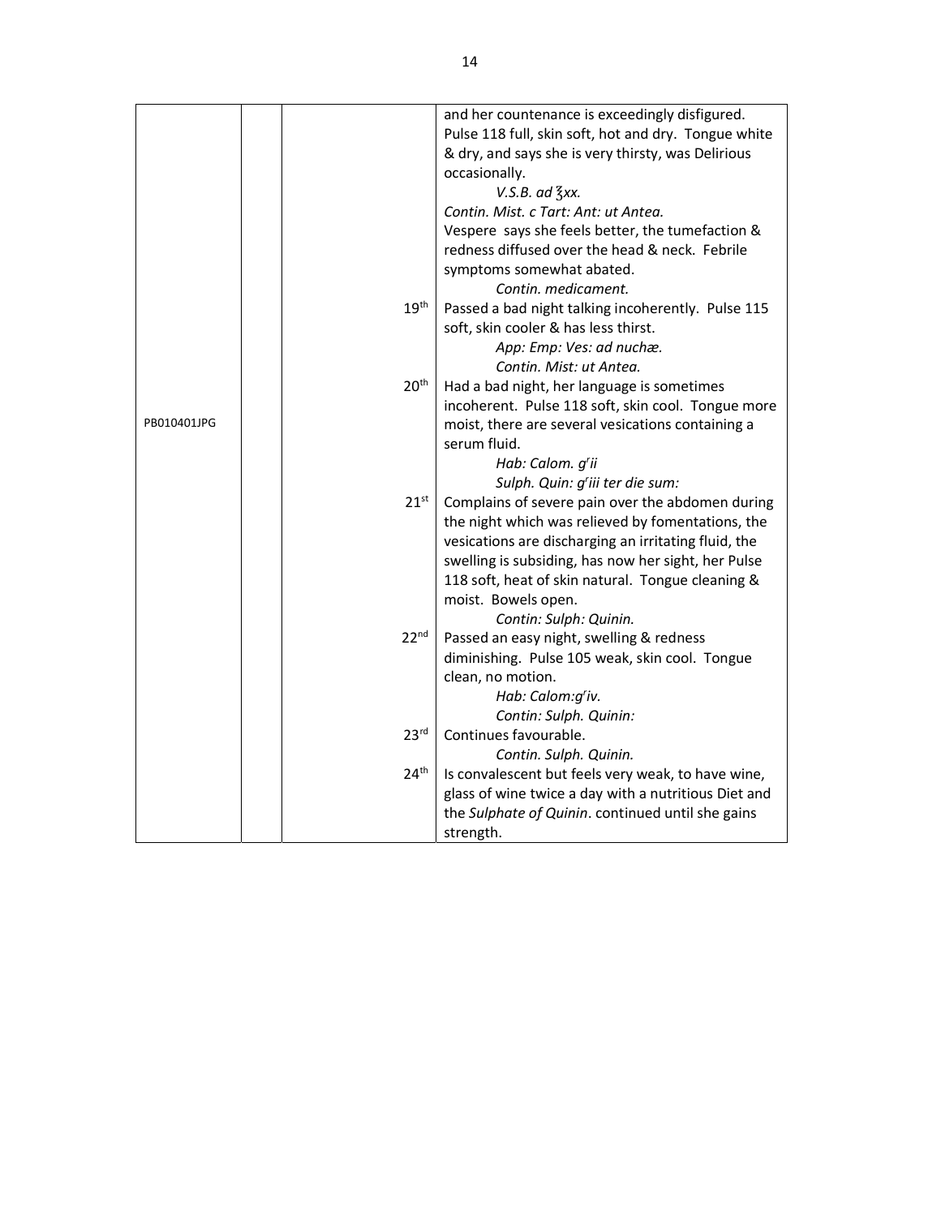|             |                  | and her countenance is exceedingly disfigured.       |
|-------------|------------------|------------------------------------------------------|
|             |                  | Pulse 118 full, skin soft, hot and dry. Tongue white |
|             |                  | & dry, and says she is very thirsty, was Delirious   |
|             |                  | occasionally.                                        |
|             |                  | $V.S.B.$ ad $\frac{7}{3}$ xx.                        |
|             |                  | Contin. Mist. c Tart: Ant: ut Antea.                 |
|             |                  | Vespere says she feels better, the tumefaction &     |
|             |                  | redness diffused over the head & neck. Febrile       |
|             |                  | symptoms somewhat abated.                            |
|             |                  | Contin. medicament.                                  |
|             | 19 <sup>th</sup> | Passed a bad night talking incoherently. Pulse 115   |
|             |                  | soft, skin cooler & has less thirst.                 |
|             |                  | App: Emp: Ves: ad nuchæ.                             |
|             |                  | Contin. Mist: ut Antea.                              |
|             | 20 <sup>th</sup> | Had a bad night, her language is sometimes           |
|             |                  | incoherent. Pulse 118 soft, skin cool. Tongue more   |
| PB010401JPG |                  | moist, there are several vesications containing a    |
|             |                  | serum fluid.                                         |
|             |                  | Hab: Calom. g'ii                                     |
|             |                  | Sulph. Quin: g'iii ter die sum:                      |
|             | $21^{st}$        | Complains of severe pain over the abdomen during     |
|             |                  | the night which was relieved by fomentations, the    |
|             |                  | vesications are discharging an irritating fluid, the |
|             |                  | swelling is subsiding, has now her sight, her Pulse  |
|             |                  | 118 soft, heat of skin natural. Tongue cleaning &    |
|             |                  | moist. Bowels open.                                  |
|             |                  | Contin: Sulph: Quinin.                               |
|             | 22 <sup>nd</sup> | Passed an easy night, swelling & redness             |
|             |                  | diminishing. Pulse 105 weak, skin cool. Tongue       |
|             |                  | clean, no motion.                                    |
|             |                  | Hab: Calom:g'iv.                                     |
|             |                  | Contin: Sulph. Quinin:                               |
|             | 23 <sup>rd</sup> | Continues favourable.                                |
|             |                  | Contin. Sulph. Quinin.                               |
|             | 24 <sup>th</sup> | Is convalescent but feels very weak, to have wine,   |
|             |                  | glass of wine twice a day with a nutritious Diet and |
|             |                  | the Sulphate of Quinin. continued until she gains    |
|             |                  | strength.                                            |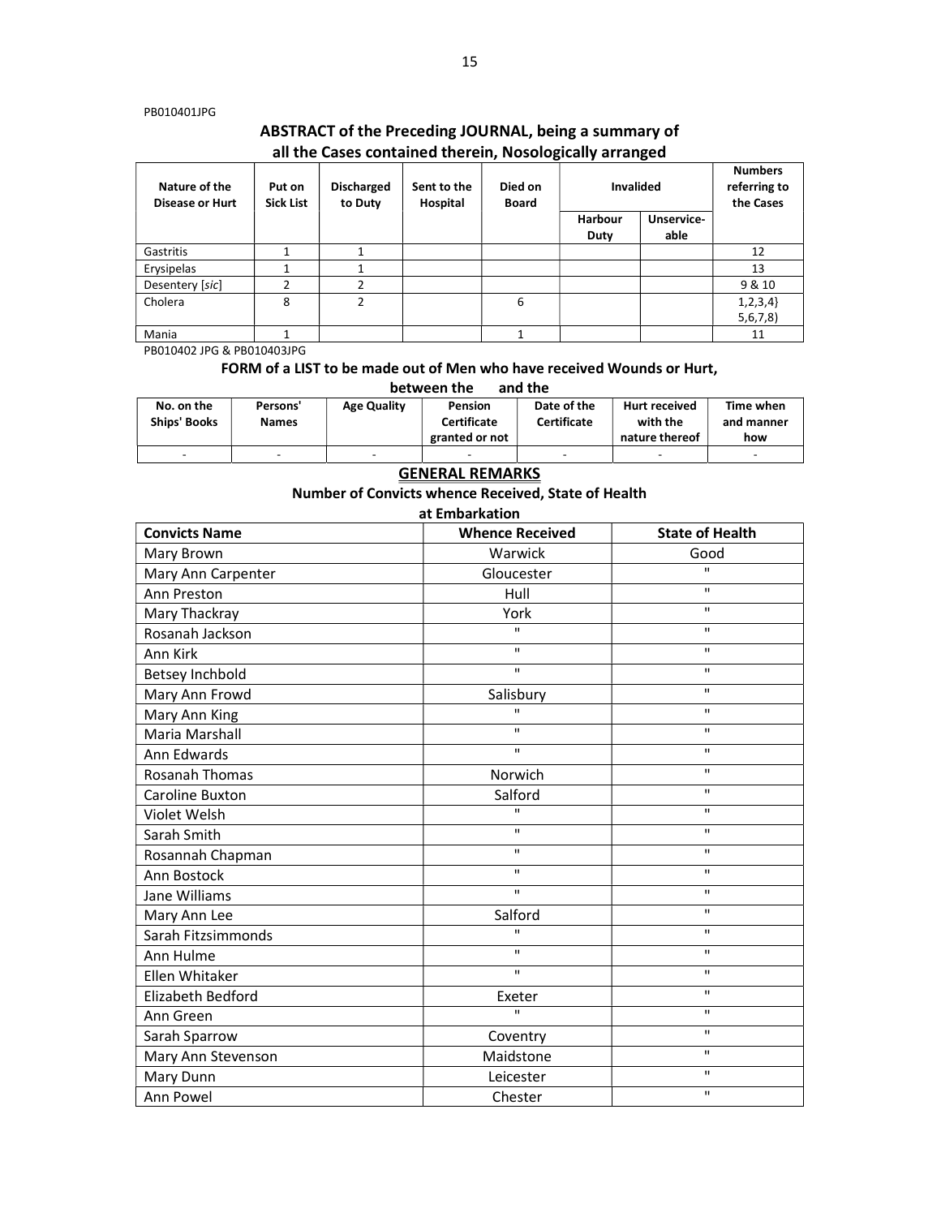#### PB010401JPG

# ABSTRACT of the Preceding JOURNAL, being a summary of all the Cases contained therein, Nosologically arranged

| Nature of the<br><b>Disease or Hurt</b> | Put on<br><b>Sick List</b> | <b>Discharged</b><br>to Duty | Sent to the<br>Hospital | Died on<br><b>Board</b> | <b>Invalided</b>       |                    | <b>Numbers</b><br>referring to<br>the Cases |
|-----------------------------------------|----------------------------|------------------------------|-------------------------|-------------------------|------------------------|--------------------|---------------------------------------------|
|                                         |                            |                              |                         |                         | <b>Harbour</b><br>Duty | Unservice-<br>able |                                             |
| Gastritis                               |                            |                              |                         |                         |                        |                    | 12                                          |
| Erysipelas                              |                            |                              |                         |                         |                        |                    | 13                                          |
| Desentery [sic]                         | ำ                          | C.                           |                         |                         |                        |                    | 9 & 10                                      |
| Cholera                                 | 8                          | $\mathfrak z$                |                         | 6                       |                        |                    | 1, 2, 3, 4<br>5,6,7,8                       |
| Mania                                   |                            |                              |                         |                         |                        |                    | 11                                          |

PB010402 JPG & PB010403JPG

## FORM of a LIST to be made out of Men who have received Wounds or Hurt,

| and the<br>between the            |                          |                          |                                                 |                                   |                                                    |                                |  |
|-----------------------------------|--------------------------|--------------------------|-------------------------------------------------|-----------------------------------|----------------------------------------------------|--------------------------------|--|
| No. on the<br><b>Ships' Books</b> | Persons'<br><b>Names</b> | <b>Age Quality</b>       | Pension<br><b>Certificate</b><br>granted or not | Date of the<br><b>Certificate</b> | <b>Hurt received</b><br>with the<br>nature thereof | Time when<br>and manner<br>how |  |
| -                                 | -                        | $\overline{\phantom{a}}$ | -                                               | -                                 | $\overline{\phantom{a}}$                           | -                              |  |

### GENERAL REMARKS

Number of Convicts whence Received, State of Health

at Embarkation

| <b>Convicts Name</b>   | <b>Whence Received</b> | <b>State of Health</b> |  |
|------------------------|------------------------|------------------------|--|
| Mary Brown             | Warwick                | Good                   |  |
| Mary Ann Carpenter     | Gloucester             | $\mathbf{u}$           |  |
| Ann Preston            | Hull                   | $\mathbf{u}$           |  |
| Mary Thackray          | York                   | $\mathbf{u}$           |  |
| Rosanah Jackson        | $\mathbf{H}$           | $\mathbf{H}$           |  |
| Ann Kirk               | $\mathbf{H}$           | $\mathbf{u}$           |  |
| Betsey Inchbold        | $\mathbf{H}$           | $\mathbf{u}$           |  |
| Mary Ann Frowd         | Salisbury              | $\mathbf H$            |  |
| Mary Ann King          | $\mathbf{u}$           | $\mathbf{H}$           |  |
| Maria Marshall         | $\mathbf{H}$           | $\mathbf{H}$           |  |
| Ann Edwards            | $\mathbf{H}$           | $\mathbf{u}$           |  |
| <b>Rosanah Thomas</b>  | Norwich                | $\mathbf{H}$           |  |
| <b>Caroline Buxton</b> | Salford                | $\mathbf{H}$           |  |
| Violet Welsh           | $\mathbf{H}$           | $\mathbf{H}$           |  |
| Sarah Smith            | $\mathbf{H}$           | $\mathbf{H}$           |  |
| Rosannah Chapman       | $\mathbf{H}$           | $\mathbf{H}$           |  |
| Ann Bostock            | $\mathbf{H}$           | $\mathbf{H}$           |  |
| Jane Williams          | $\mathbf{H}$           | $\mathbf{H}$           |  |
| Mary Ann Lee           | Salford                | $\mathbf{u}$           |  |
| Sarah Fitzsimmonds     | $\mathbf{u}$           | $\mathbf{u}$           |  |
| Ann Hulme              | $\mathbf{u}$           | $\mathbf{u}$           |  |
| Ellen Whitaker         | $\mathbf{u}$           | $\mathbf{u}$           |  |
| Elizabeth Bedford      | Exeter                 | $\mathbf{u}$           |  |
| Ann Green              | $\mathbf{u}$           | $\mathbf{u}$           |  |
| Sarah Sparrow          | Coventry               | $\mathbf{u}$           |  |
| Mary Ann Stevenson     | Maidstone              | $\mathbf{u}$           |  |
| Mary Dunn              | Leicester              | $\mathbf{H}$           |  |
| Ann Powel              | Chester                | $\mathbf{H}$           |  |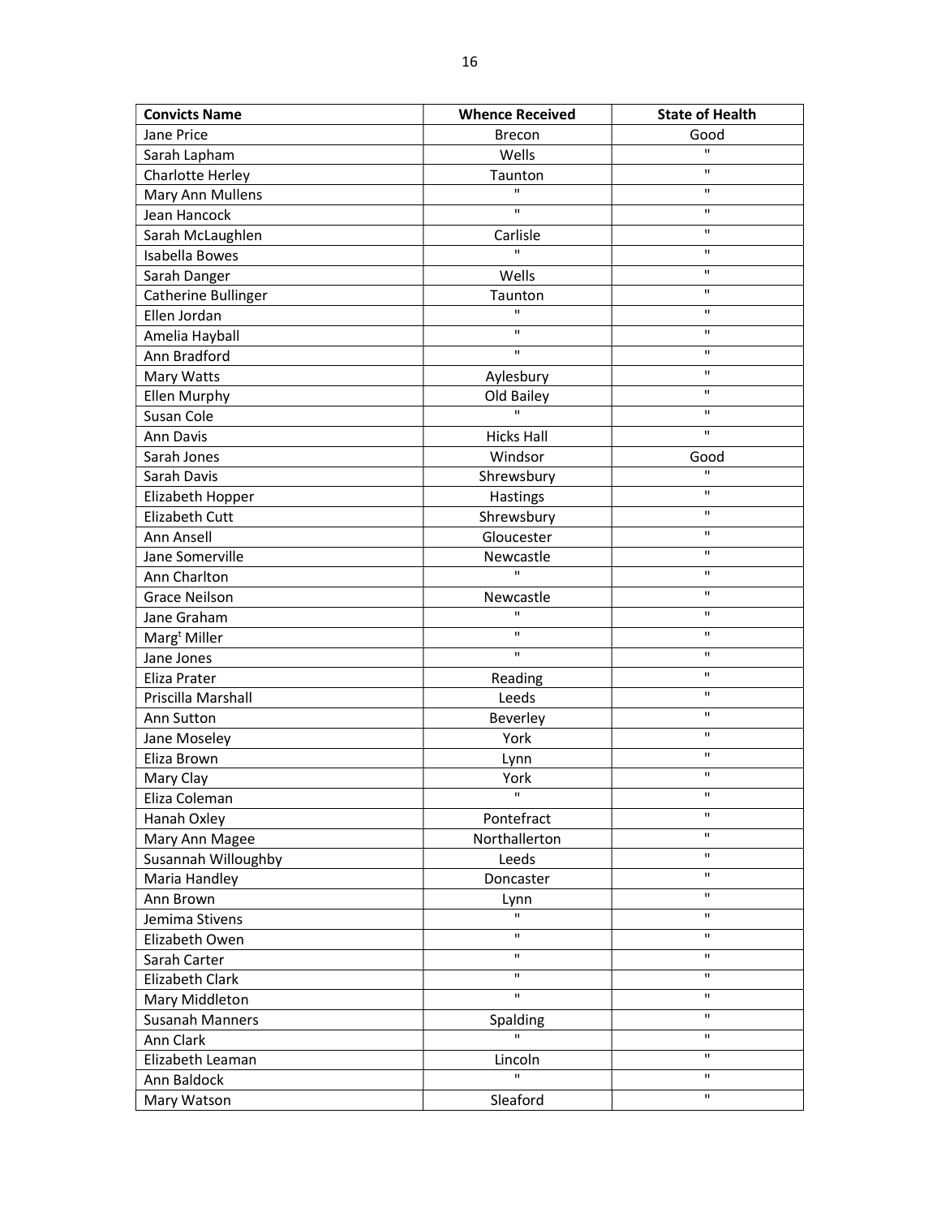| <b>Convicts Name</b>     | <b>Whence Received</b> | <b>State of Health</b> |
|--------------------------|------------------------|------------------------|
| Jane Price               | <b>Brecon</b>          | Good                   |
| Sarah Lapham             | Wells                  | $\mathbf{u}$           |
| Charlotte Herley         | Taunton                | $\mathbf{H}$           |
| Mary Ann Mullens         | $\mathbf{u}$           | $\mathbf{H}$           |
| Jean Hancock             | $\mathbf{H}$           | $\mathbf{H}$           |
| Sarah McLaughlen         | Carlisle               | $\mathbf{H}$           |
| Isabella Bowes           | $\mathbf{u}$           | $\mathbf H$            |
| Sarah Danger             | Wells                  | $\mathbf H$            |
| Catherine Bullinger      | Taunton                | $\mathbf{H}$           |
| Ellen Jordan             | $\mathbf{H}$           | $\mathbf H$            |
| Amelia Hayball           | $\mathbf{H}$           | $\mathbf{H}$           |
| Ann Bradford             | $\mathbf H$            | $\mathbf H$            |
| Mary Watts               | Aylesbury              | $\mathbf{H}$           |
| <b>Ellen Murphy</b>      | Old Bailey             | $\mathbf{H}$           |
| Susan Cole               | $\mathbf{u}$           | $\mathbf H$            |
| Ann Davis                | <b>Hicks Hall</b>      | $\mathbf{H}$           |
| Sarah Jones              | Windsor                | Good                   |
| Sarah Davis              | Shrewsbury             | H.                     |
| Elizabeth Hopper         | Hastings               | $\mathbf{H}$           |
| <b>Elizabeth Cutt</b>    | Shrewsbury             | $\mathbf{H}$           |
| Ann Ansell               | Gloucester             | $\mathbf{H}$           |
| Jane Somerville          | Newcastle              | $\mathbf{H}$           |
| Ann Charlton             | H.                     | $\mathbf H$            |
| <b>Grace Neilson</b>     | Newcastle              | $\mathbf{H}$           |
| Jane Graham              | $\mathbf{H}$           | $\mathbf{H}$           |
| Marg <sup>t</sup> Miller | $\mathbf{H}$           | $\mathbf{H}$           |
| Jane Jones               | $\mathbf{H}$           | $\mathbf{H}$           |
| Eliza Prater             | Reading                | $\mathbf{H}$           |
| Priscilla Marshall       | Leeds                  | $\mathbf H$            |
| Ann Sutton               | Beverley               | $\mathbf H$            |
| Jane Moseley             | York                   | $\mathbf{H}$           |
| Eliza Brown              | Lynn                   | $\mathbf H$            |
| Mary Clay                | York                   | $\mathbf H$            |
| Eliza Coleman            | $\mathbf{H}$           | $\mathbf{H}$           |
| Hanah Oxley              | Pontefract             | $\mathbf{H}$           |
| Mary Ann Magee           | Northallerton          | $\mathbf{H}$           |
| Susannah Willoughby      | Leeds                  | $\mathbf H$            |
| Maria Handley            | Doncaster              | $\mathbf H$            |
| Ann Brown                | Lynn                   | $\mathbf{H}$           |
| Jemima Stivens           | П.                     | П.                     |
| Elizabeth Owen           | п                      | п                      |
| Sarah Carter             | $\mathbf H$            | $\mathbf{H}$           |
| <b>Elizabeth Clark</b>   | $\mathbf H$            | $\mathbf H$            |
| Mary Middleton           | H.                     | $\mathbf{H}$           |
| <b>Susanah Manners</b>   | Spalding               | $\mathbf H$            |
| Ann Clark                | $\mathbf{u}$           | $\mathbf{H}$           |
| Elizabeth Leaman         | Lincoln                | $\mathbf H$            |
| Ann Baldock              | $\mathbf{H}$           | $\mathbf H$            |
| Mary Watson              | Sleaford               | $\mathbf H$            |
|                          |                        |                        |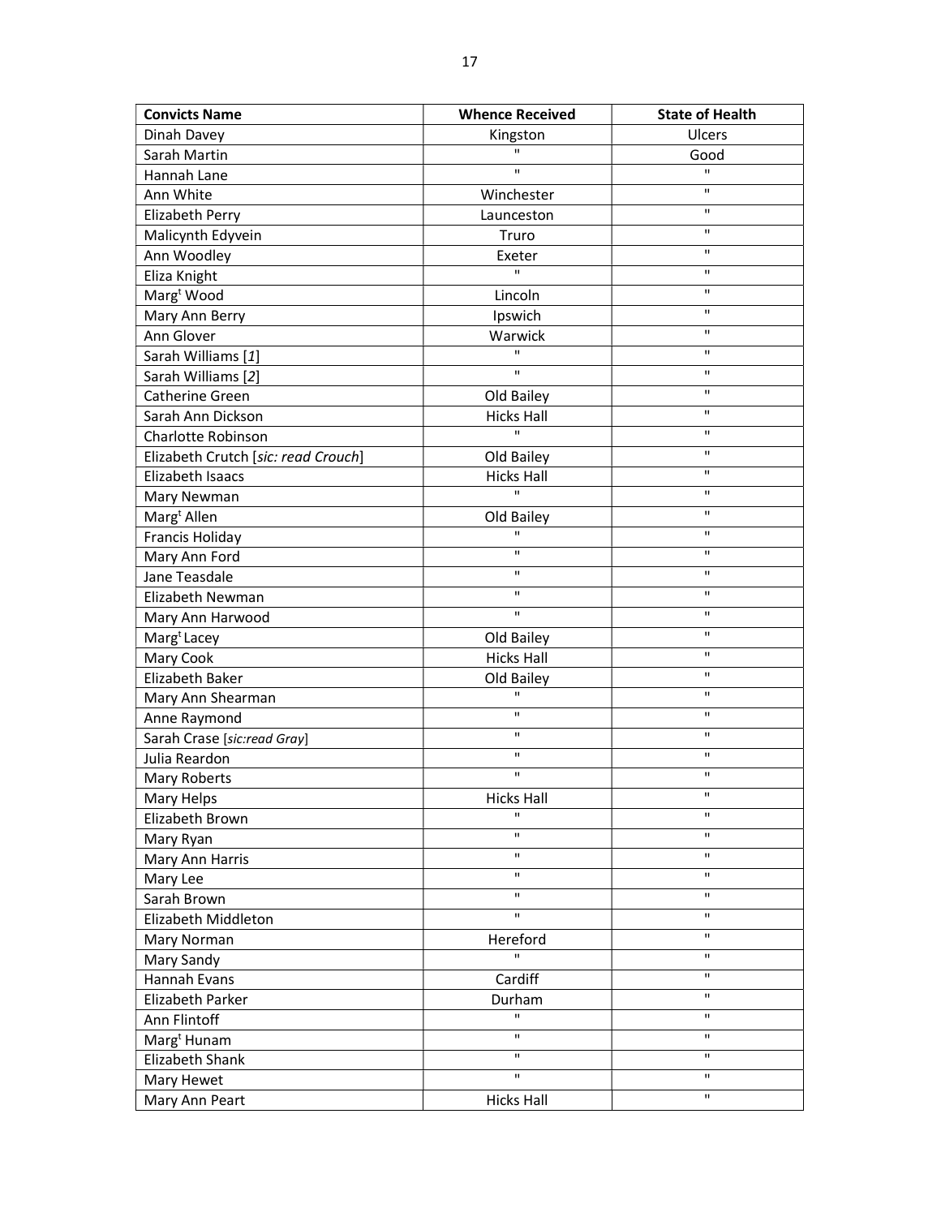| <b>Convicts Name</b>                | <b>Whence Received</b>     | <b>State of Health</b> |
|-------------------------------------|----------------------------|------------------------|
| Dinah Davey                         | Kingston                   | Ulcers                 |
| Sarah Martin                        | H.                         | Good                   |
| Hannah Lane                         | H.                         | $\mathbf{H}$           |
| Ann White                           | Winchester                 | $\mathbf{u}$           |
| Elizabeth Perry                     | Launceston                 | $\mathbf{H}$           |
| Malicynth Edyvein                   | Truro                      | $\mathbf H$            |
| Ann Woodley                         | Exeter                     | $\mathbf{H}$           |
| Eliza Knight                        | $\mathbf{H}$               | $\mathbf{H}$           |
| Marg <sup>t</sup> Wood              | Lincoln                    | $\mathbf H$            |
| Mary Ann Berry                      | Ipswich                    | $\mathbf H$            |
| Ann Glover                          | Warwick                    | $\mathbf{H}$           |
| Sarah Williams [1]                  | $\mathbf{H}$               | $\mathbf H$            |
| Sarah Williams [2]                  | $\mathbf{H}$               | $\mathbf{H}$           |
| Catherine Green                     | Old Bailey                 | $\mathbf H$            |
| Sarah Ann Dickson                   | <b>Hicks Hall</b>          | $\mathbf{H}$           |
| Charlotte Robinson                  | $\mathbf{H}$               | $\mathbf{H}$           |
| Elizabeth Crutch [sic: read Crouch] | Old Bailey                 | $\mathbf H$            |
| Elizabeth Isaacs                    | <b>Hicks Hall</b>          | $\mathbf{H}$           |
| Mary Newman                         | $\mathbf{u}$               | $\mathbf{H}$           |
| Marg <sup>t</sup> Allen             | Old Bailey                 | $\mathbf{H}$           |
| Francis Holiday                     | п                          | $\mathbf H$            |
| Mary Ann Ford                       | $\mathbf{H}$               | $\mathbf{H}$           |
| Jane Teasdale                       | $\mathbf{H}$               | $\mathbf H$            |
|                                     | $\mathbf{H}$               | $\mathbf{H}$           |
| Elizabeth Newman                    | $\mathbf{H}$               | $\mathbf{H}$           |
| Mary Ann Harwood                    |                            | $\mathbf{H}$           |
| Marg <sup>t</sup> Lacey             | Old Bailey                 | $\mathbf{H}$           |
| Mary Cook                           | <b>Hicks Hall</b>          | $\mathbf H$            |
| Elizabeth Baker                     | Old Bailey<br>$\mathbf{H}$ | $\mathbf{H}$           |
| Mary Ann Shearman                   | $\mathbf H$                | $\mathbf{H}$           |
| Anne Raymond                        | $\mathbf{H}$               | $\mathbf{H}$           |
| Sarah Crase [sic:read Gray]         | п                          | $\mathbf H$            |
| Julia Reardon                       | $\mathbf{H}$               | $\mathbf{H}$           |
| <b>Mary Roberts</b>                 |                            |                        |
| Mary Helps                          | <b>Hicks Hall</b>          |                        |
| Elizabeth Brown                     | $\mathbf{u}$               | $\mathbf{H}$           |
| Mary Ryan                           | $\mathbf{H}$               | $\mathbf H$            |
| Mary Ann Harris                     | $\mathbf{H}$               | $\mathbf{H}$           |
| Mary Lee                            | $\mathbf{H}$               | $\mathbf H$            |
| Sarah Brown                         | $\mathbf H$                | $\mathbf H$            |
| Elizabeth Middleton                 | $\mathbf H$                | $\mathbf{H}$           |
| Mary Norman                         | Hereford                   | $\mathbf{H}$           |
| Mary Sandy                          | $\mathbf{H}$               | $\mathbf H$            |
| Hannah Evans                        | Cardiff                    | $\mathbf H$            |
| Elizabeth Parker                    | Durham                     | $\mathbf H$            |
| Ann Flintoff                        | H.                         | $\mathbf H$            |
| Marg <sup>t</sup> Hunam             | $\mathbf{H}$               | $\mathbf H$            |
| Elizabeth Shank                     | $\mathbf H$                | $\mathbf H$            |
| Mary Hewet                          | $\mathbf{H}$               | $\mathbf{H}$           |
| Mary Ann Peart                      | <b>Hicks Hall</b>          | П.                     |